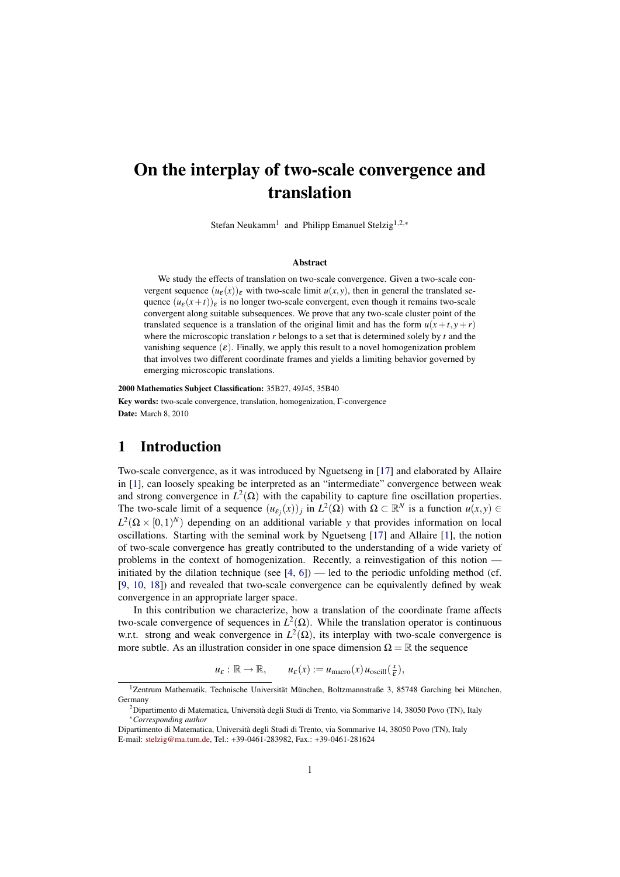# On the interplay of two-scale convergence and translation

Stefan Neukamm<sup>1</sup> and Philipp Emanuel Stelzig<sup>1,2,∗</sup>

#### Abstract

We study the effects of translation on two-scale convergence. Given a two-scale convergent sequence  $(u_{\varepsilon}(x))_{\varepsilon}$  with two-scale limit  $u(x, y)$ , then in general the translated sequence  $(u_{\varepsilon}(x+t))_{\varepsilon}$  is no longer two-scale convergent, even though it remains two-scale convergent along suitable subsequences. We prove that any two-scale cluster point of the translated sequence is a translation of the original limit and has the form  $u(x+t, y+r)$ where the microscopic translation *r* belongs to a set that is determined solely by *t* and the vanishing sequence  $(\varepsilon)$ . Finally, we apply this result to a novel homogenization problem that involves two different coordinate frames and yields a limiting behavior governed by emerging microscopic translations.

2000 Mathematics Subject Classification: 35B27, 49J45, 35B40 Key words: two-scale convergence, translation, homogenization, Γ-convergence Date: March 8, 2010

#### 1 Introduction

Two-scale convergence, as it was introduced by Nguetseng in [\[17\]](#page-18-0) and elaborated by Allaire in [\[1\]](#page-17-0), can loosely speaking be interpreted as an "intermediate" convergence between weak and strong convergence in  $L^2(\Omega)$  with the capability to capture fine oscillation properties. The two-scale limit of a sequence  $(u_{\varepsilon_j}(x))_j$  in  $L^2(\Omega)$  with  $\Omega \subset \mathbb{R}^N$  is a function  $u(x, y) \in$  $L^2(\Omega \times [0,1)^N)$  depending on an additional variable *y* that provides information on local oscillations. Starting with the seminal work by Nguetseng [\[17\]](#page-18-0) and Allaire [\[1\]](#page-17-0), the notion of two-scale convergence has greatly contributed to the understanding of a wide variety of problems in the context of homogenization. Recently, a reinvestigation of this notion initiated by the dilation technique (see  $[4, 6]$  $[4, 6]$  $[4, 6]$ ) — led to the periodic unfolding method (cf. [\[9,](#page-18-2) [10,](#page-18-3) [18\]](#page-18-4)) and revealed that two-scale convergence can be equivalently defined by weak convergence in an appropriate larger space.

In this contribution we characterize, how a translation of the coordinate frame affects two-scale convergence of sequences in  $L^2(\Omega)$ . While the translation operator is continuous w.r.t. strong and weak convergence in  $L^2(\Omega)$ , its interplay with two-scale convergence is more subtle. As an illustration consider in one space dimension  $\Omega = \mathbb{R}$  the sequence

> $u_{\varepsilon}: \mathbb{R} \to \mathbb{R}, \qquad u_{\varepsilon}(x) := u_{\text{macro}}(x) u_{\text{oscill}}(\frac{x}{\varepsilon})$  $(\frac{x}{\varepsilon}),$

<sup>&</sup>lt;sup>1</sup>Zentrum Mathematik, Technische Universität München, Boltzmannstraße 3, 85748 Garching bei München, Germany

 $2$ Dipartimento di Matematica, Università degli Studi di Trento, via Sommarive 14, 38050 Povo (TN), Italy <sup>∗</sup>*Corresponding author*

Dipartimento di Matematica, Universita degli Studi di Trento, via Sommarive 14, 38050 Povo (TN), Italy ` E-mail: [stelzig@ma.tum.de,](mailto:stelzig@ma.tum.de) Tel.: +39-0461-283982, Fax.: +39-0461-281624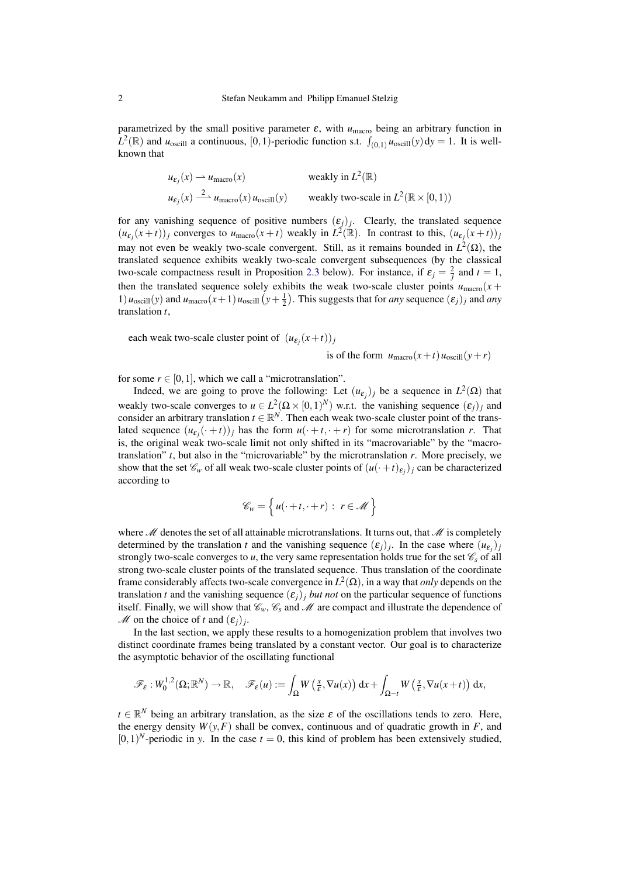parametrized by the small positive parameter  $\varepsilon$ , with  $u_{\text{macro}}$  being an arbitrary function in  $L^2(\mathbb{R})$  and *u*<sub>oscill</sub> a continuous, [0,1)-periodic function s.t.  $\int_{(0,1)} u_{\text{oscill}}(y) dy = 1$ . It is wellknown that

$$
u_{\varepsilon_j}(x) \rightharpoonup u_{\text{macro}}(x) \qquad \text{weakly in } L^2(\mathbb{R})
$$
  

$$
u_{\varepsilon_j}(x) \xrightarrow{2} u_{\text{macro}}(x) u_{\text{oscill}}(y) \qquad \text{weakly two-scale in } L^2(\mathbb{R} \times [0, 1))
$$

for any vanishing sequence of positive numbers  $(\varepsilon_j)_j$ . Clearly, the translated sequence  $(u_{\varepsilon_j}(x+t))_j$  converges to  $u_{\text{macro}}(x+t)$  weakly in  $L^2(\mathbb{R})$ . In contrast to this,  $(u_{\varepsilon_j}(x+t))_j$ may not even be weakly two-scale convergent. Still, as it remains bounded in  $L^2(\Omega)$ , the translated sequence exhibits weakly two-scale convergent subsequences (by the classical two-scale compactness result in Proposition [2.3](#page-3-0) below). For instance, if  $\varepsilon_j = \frac{2}{j}$  and  $t = 1$ , then the translated sequence solely exhibits the weak two-scale cluster points  $u_{\text{macro}}(x +$ 1)  $u_{\text{oscill}}(y)$  and  $u_{\text{macro}}(x+1)u_{\text{oscill}}(y+\frac{1}{2})$ . This suggests that for *any* sequence  $(\varepsilon_j)_j$  and *any* translation *t*,

each weak two-scale cluster point of  $(u_{\varepsilon_j}(x+t))_j$ 

is of the form  $u_{\text{macro}}(x+t)u_{\text{oscill}}(y+r)$ 

for some  $r \in [0,1]$ , which we call a "microtranslation".

Indeed, we are going to prove the following: Let  $(u_{\varepsilon_j})_j$  be a sequence in  $L^2(\Omega)$  that weakly two-scale converges to  $u \in L^2(\Omega \times [0,1)^N)$  w.r.t. the vanishing sequence  $(\varepsilon_j)_j$  and consider an arbitrary translation  $t \in \mathbb{R}^N$ . Then each weak two-scale cluster point of the translated sequence  $(u_{\varepsilon_j}(\cdot + t))_j$  has the form  $u(\cdot + t, \cdot + r)$  for some microtranslation *r*. That is, the original weak two-scale limit not only shifted in its "macrovariable" by the "macrotranslation"  $t$ , but also in the "microvariable" by the microtranslation  $r$ . More precisely, we show that the set  $\mathcal{C}_w$  of all weak two-scale cluster points of  $(u(\cdot+t)_{\varepsilon_j})_j$  can be characterized according to

$$
\mathscr{C}_w = \left\{ u(\cdot + t, \cdot + r) : r \in \mathscr{M} \right\}
$$

where  $M$  denotes the set of all attainable microtranslations. It turns out, that  $M$  is completely determined by the translation *t* and the vanishing sequence  $(\varepsilon_j)_j$ . In the case where  $(u_{\varepsilon_j})_j$ strongly two-scale converges to *u*, the very same representation holds true for the set  $\mathcal{C}_s$  of all strong two-scale cluster points of the translated sequence. Thus translation of the coordinate frame considerably affects two-scale convergence in *L* 2 (Ω), in a way that *only* depends on the translation *t* and the vanishing sequence  $(\varepsilon_i)_i$  *but not* on the particular sequence of functions itself. Finally, we will show that  $\mathcal{C}_w$ ,  $\mathcal{C}_s$  and  $\mathcal M$  are compact and illustrate the dependence of *M* on the choice of *t* and  $(\varepsilon_j)_j$ .

In the last section, we apply these results to a homogenization problem that involves two distinct coordinate frames being translated by a constant vector. Our goal is to characterize the asymptotic behavior of the oscillating functional

$$
\mathscr{F}_{\varepsilon}:W_0^{1,2}(\Omega;\mathbb{R}^N)\to\mathbb{R},\quad\mathscr{F}_{\varepsilon}(u):=\int_{\Omega}W\left(\frac{x}{\varepsilon},\nabla u(x)\right)\mathrm{d} x+\int_{\Omega-t}W\left(\frac{x}{\varepsilon},\nabla u(x+t)\right)\mathrm{d} x,
$$

 $t \in \mathbb{R}^N$  being an arbitrary translation, as the size  $\varepsilon$  of the oscillations tends to zero. Here, the energy density  $W(y, F)$  shall be convex, continuous and of quadratic growth in *F*, and  $[0,1)^N$ -periodic in *y*. In the case  $t = 0$ , this kind of problem has been extensively studied,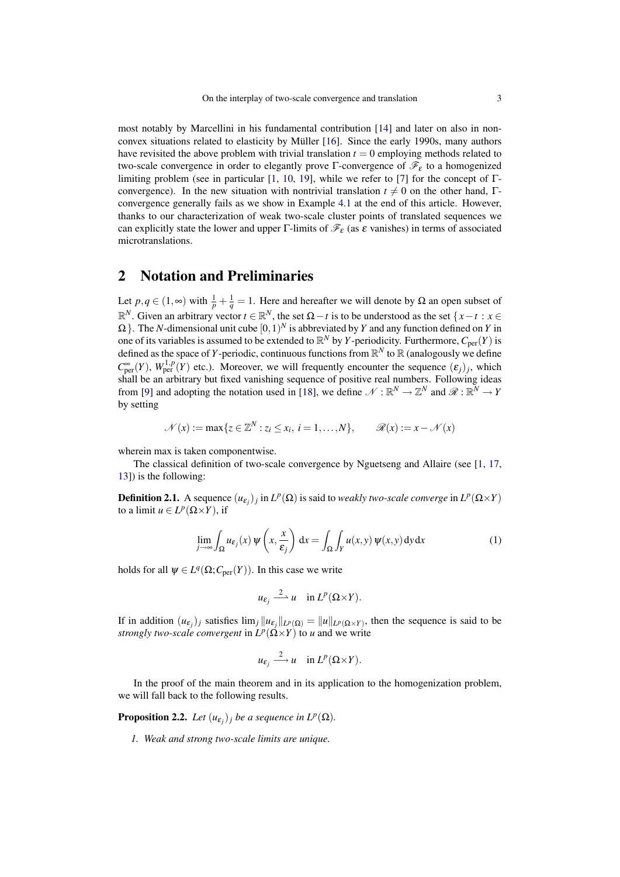most notably by Marcellini in his fundamental contribution [\[14\]](#page-18-5) and later on also in non-convex situations related to elasticity by Müller [[16\]](#page-18-6). Since the early 1990s, many authors have revisited the above problem with trivial translation  $t = 0$  employing methods related to two-scale convergence in order to elegantly prove Γ-convergence of  $\mathcal{F}_{\varepsilon}$  to a homogenized limiting problem (see in particular [\[1,](#page-17-0) [10,](#page-18-3) [19\]](#page-18-7), while we refer to [\[7\]](#page-18-8) for the concept of  $\Gamma$ convergence). In the new situation with nontrivial translation  $t \neq 0$  on the other hand, Γconvergence generally fails as we show in Example [4.1](#page-16-0) at the end of this article. However, thanks to our characterization of weak two-scale cluster points of translated sequences we can explicitly state the lower and upper Γ-limits of  $\mathcal{F}_{\varepsilon}$  (as  $\varepsilon$  vanishes) in terms of associated microtranslations.

### <span id="page-2-1"></span>2 Notation and Preliminaries

Let  $p, q \in (1, \infty)$  with  $\frac{1}{p} + \frac{1}{q} = 1$ . Here and hereafter we will denote by  $\Omega$  an open subset of  $\mathbb{R}^N$ . Given an arbitrary vector  $t \in \mathbb{R}^N$ , the set  $\Omega - t$  is to be understood as the set  $\{x - t : x \in \mathbb{R}^N\}$  $\Omega$  }. The *N*-dimensional unit cube  $[0,1)^N$  is abbreviated by *Y* and any function defined on *Y* in one of its variables is assumed to be extended to  $\mathbb{R}^N$  by *Y*-periodicity. Furthermore,  $C_{\text{per}}(Y)$  is defined as the space of *Y*-periodic, continuous functions from  $\mathbb{R}^N$  to  $\mathbb{R}$  (analogously we define  $C^{\infty}_{per}(Y)$ ,  $W^{1,p}_{per}(Y)$  etc.). Moreover, we will frequently encounter the sequence  $(\varepsilon_j)_j$ , which shall be an arbitrary but fixed vanishing sequence of positive real numbers. Following ideas from [\[9\]](#page-18-2) and adopting the notation used in [\[18\]](#page-18-4), we define  $\mathcal{N} : \mathbb{R}^N \to \mathbb{Z}^N$  and  $\mathcal{R} : \mathbb{R}^N \to Y$ by setting

$$
\mathcal{N}(x) := \max\{z \in \mathbb{Z}^N : z_i \le x_i, i = 1,\dots,N\}, \qquad \mathcal{R}(x) := x - \mathcal{N}(x)
$$

wherein max is taken componentwise.

The classical definition of two-scale convergence by Nguetseng and Allaire (see [\[1,](#page-17-0) [17,](#page-18-0) [13\]](#page-18-9)) is the following:

**Definition 2.1.** A sequence  $(u_{\varepsilon_j})_j$  in  $L^p(\Omega)$  is said to *weakly two-scale converge* in  $L^p(\Omega \times Y)$ to a limit  $u \in L^p(\Omega \times Y)$ , if

<span id="page-2-0"></span>
$$
\lim_{j \to \infty} \int_{\Omega} u_{\varepsilon_j}(x) \, \psi\left(x, \frac{x}{\varepsilon_j}\right) \, \mathrm{d}x = \int_{\Omega} \int_Y u(x, y) \, \psi(x, y) \, \mathrm{d}y \, \mathrm{d}x \tag{1}
$$

holds for all  $\psi \in L^q(\Omega; C_{\text{per}}(Y))$ . In this case we write

$$
u_{\varepsilon_j} \stackrel{2}{\longrightarrow} u \quad \text{in } L^p(\Omega \times Y).
$$

If in addition  $(u_{\varepsilon_j})_j$  satisfies  $\lim_j ||u_{\varepsilon_j}||_{L^p(\Omega)} = ||u||_{L^p(\Omega \times Y)}$ , then the sequence is said to be *strongly two-scale convergent* in  $L^p(\Omega \times Y)$  to *u* and we write

$$
u_{\varepsilon_j} \stackrel{2}{\longrightarrow} u \quad \text{in } L^p(\Omega \times Y).
$$

In the proof of the main theorem and in its application to the homogenization problem, we will fall back to the following results.

**Proposition 2.2.** *Let*  $(u_{\varepsilon_j})_j$  *be a sequence in*  $L^p(\Omega)$ *.* 

*1. Weak and strong two-scale limits are unique.*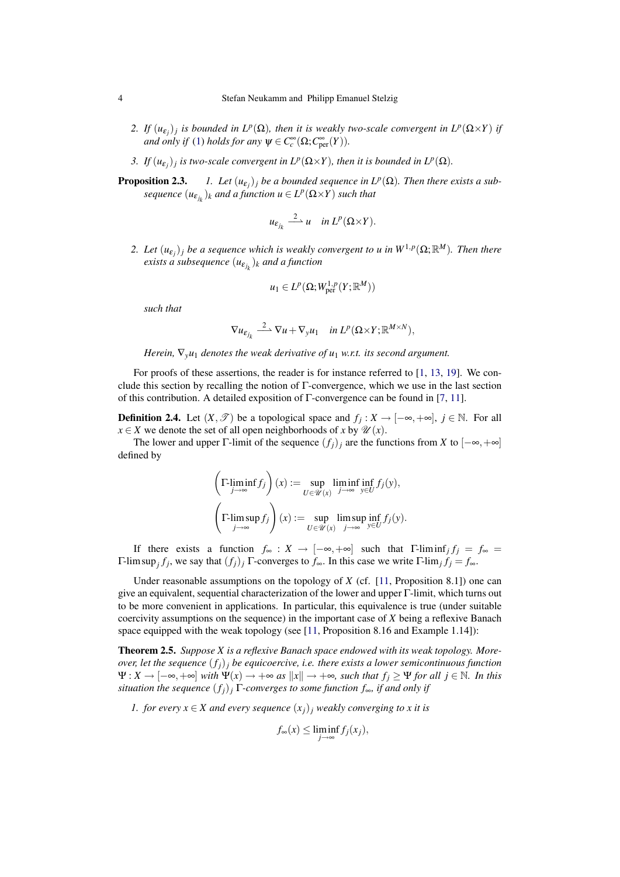- *2. If*  $(u_{\varepsilon_j})_j$  is bounded in  $L^p(\Omega)$ , then it is weakly two-scale convergent in  $L^p(\Omega \times Y)$  if *and only if* [\(1\)](#page-2-0) *holds for any*  $\psi \in C_c^{\infty}(\Omega; C_{\text{per}}^{\infty}(Y))$ *.*
- *3. If*  $(u_{\varepsilon_j})_j$  is two-scale convergent in  $L^p(\Omega \times Y)$ , then it is bounded in  $L^p(\Omega)$ .
- <span id="page-3-0"></span>**Proposition 2.3.**  $\mathcal{L}_{ij}$  *be a bounded sequence in*  $L^p(\Omega)$ *. Then there exists a sub* $sequence (u_{\varepsilon_{j_k}})_k$  *and a function*  $u \in L^p(\Omega \times Y)$  *such that*

$$
u_{\varepsilon_{j_k}} \stackrel{2}{\longrightarrow} u \quad \text{in } L^p(\Omega \times Y).
$$

2. Let  $(u_{\varepsilon_j})_j$  be a sequence which is weakly convergent to u in  $W^{1,p}(\Omega;\mathbb{R}^M)$ . Then there  $e$ xists a subsequence  $(u_{\varepsilon_{j_k}})_k$  and a function

$$
u_1 \in L^p(\Omega; W^{1,p}_{\text{per}}(Y; \mathbb{R}^M))
$$

*such that*

$$
\nabla u_{\varepsilon_{j_k}} \xrightarrow{2} \nabla u + \nabla_y u_1 \quad \text{in } L^p(\Omega \times Y; \mathbb{R}^{M \times N}),
$$

*Herein,*  $\nabla_{\mathbf{v}} u_1$  *denotes the weak derivative of*  $u_1$  *w.r.t. its second argument.* 

For proofs of these assertions, the reader is for instance referred to [\[1,](#page-17-0) [13,](#page-18-9) [19\]](#page-18-7). We conclude this section by recalling the notion of Γ-convergence, which we use in the last section of this contribution. A detailed exposition of  $\Gamma$ -convergence can be found in [\[7,](#page-18-8) [11\]](#page-18-10).

**Definition 2.4.** Let  $(X, \mathcal{T})$  be a topological space and  $f_j : X \to [-\infty, +\infty]$ ,  $j \in \mathbb{N}$ . For all *x* ∈ *X* we denote the set of all open neighborhoods of *x* by  $\mathcal{U}(x)$ .

The lower and upper Γ-limit of the sequence  $(f_i)_i$  are the functions from *X* to  $[-\infty, +\infty]$ defined by

 $\Delta$ 

$$
\left(\Gamma\text{-}\underset{j\to\infty}{\liminf}f_j\right)(x) := \underset{U\in\mathscr{U}(x)}{\sup}\underset{j\to\infty}{\liminf} \underset{y\in U}{\inf}f_j(y),
$$
\n
$$
\left(\Gamma\text{-}\underset{j\to\infty}{\limsup}f_j\right)(x) := \underset{U\in\mathscr{U}(x)}{\sup}\underset{j\to\infty}{\limsup} \underset{y\in U}{\inf}f_j(y).
$$

If there exists a function  $f_{\infty}: X \to [-\infty, +\infty]$  such that  $\Gamma$ -liminf<sub>*j*</sub>  $f_j = f_{\infty}$ Γ-lim sup*<sup>j</sup> fj* , we say that (*fj*)*<sup>j</sup>* Γ-converges to *f*∞. In this case we write Γ-lim*<sup>j</sup> f<sup>j</sup>* = *f*∞.

Under reasonable assumptions on the topology of *X* (cf. [\[11,](#page-18-10) Proposition 8.1]) one can give an equivalent, sequential characterization of the lower and upper Γ-limit, which turns out to be more convenient in applications. In particular, this equivalence is true (under suitable coercivity assumptions on the sequence) in the important case of *X* being a reflexive Banach space equipped with the weak topology (see [\[11,](#page-18-10) Proposition 8.16 and Example 1.14]):

<span id="page-3-2"></span>Theorem 2.5. *Suppose X is a reflexive Banach space endowed with its weak topology. Moreover, let the sequence*  $(f_i)$ *j be equicoercive, i.e. there exists a lower semicontinuous function*  $\Psi: X \to [-\infty, +\infty]$  *with*  $\Psi(x) \to +\infty$  *as*  $||x|| \to +\infty$ *, such that*  $f_i \geq \Psi$  *for all*  $j \in \mathbb{N}$ *. In this situation the sequence*  $(f_i)$ <sup>*j*</sup> Γ*-converges to some function*  $f_{\infty}$ *, if and only if* 

<span id="page-3-1"></span>*1. for every*  $x \in X$  *and every sequence*  $(x_i)$ *j weakly converging to x it is* 

$$
f_{\infty}(x) \leq \liminf_{j \to \infty} f_j(x_j),
$$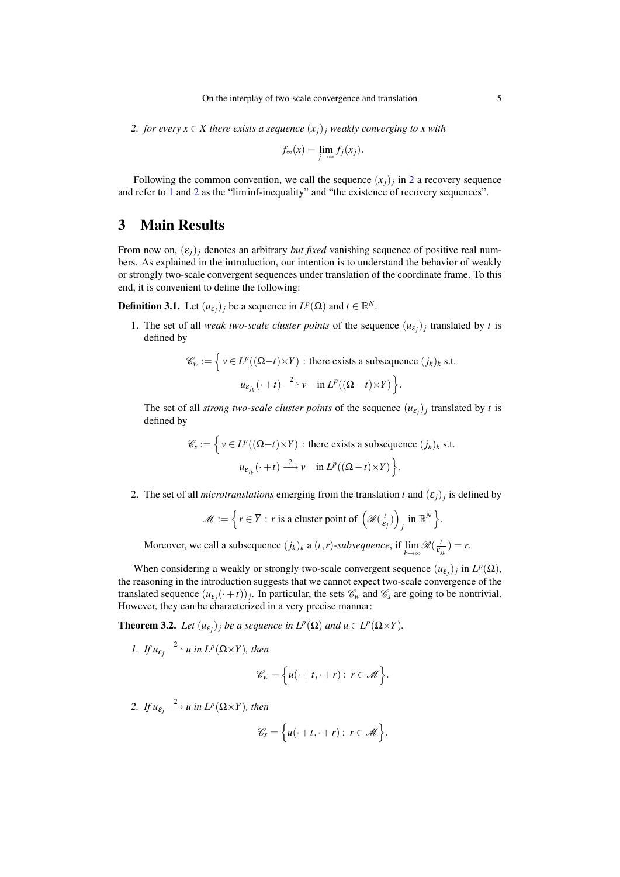<span id="page-4-0"></span>*2. for every*  $x \in X$  *there exists a sequence*  $(x_i)$ *j weakly converging to x with* 

$$
f_{\infty}(x) = \lim_{j \to \infty} f_j(x_j).
$$

Following the common convention, we call the sequence  $(x_j)_j$  in [2](#page-4-0) a recovery sequence and refer to [1](#page-3-1) and [2](#page-4-0) as the "liminf-inequality" and "the existence of recovery sequences".

#### <span id="page-4-2"></span>3 Main Results

From now on,  $(\varepsilon_j)_j$  denotes an arbitrary *but fixed* vanishing sequence of positive real numbers. As explained in the introduction, our intention is to understand the behavior of weakly or strongly two-scale convergent sequences under translation of the coordinate frame. To this end, it is convenient to define the following:

<span id="page-4-3"></span>**Definition 3.1.** Let  $(u_{\varepsilon_j})_j$  be a sequence in  $L^p(\Omega)$  and  $t \in \mathbb{R}^N$ .

1. The set of all *weak two-scale cluster points* of the sequence  $(u_{\varepsilon_j})_j$  translated by *t* is defined by

$$
\mathcal{C}_w := \left\{ v \in L^p((\Omega - t) \times Y) : \text{there exists a subsequence } (j_k)_k \text{ s.t.}
$$

$$
u_{\varepsilon_{j_k}}(\cdot + t) \xrightarrow{2} v \quad \text{in } L^p((\Omega - t) \times Y) \right\}.
$$

The set of all *strong two-scale cluster points* of the sequence  $(u_{\varepsilon_j})_j$  translated by *t* is defined by

> $\mathscr{C}_s := \left\{ v \in L^p((\Omega - t) \times Y) : \text{there exists a subsequence } (j_k)_k \text{ s.t.} \right\}$  $u_{\varepsilon_{j_k}}(\cdot+t) \stackrel{2}{\longrightarrow} v \quad \text{in } L^p((\Omega-t)\times Y)$ .

2. The set of all *microtranslations* emerging from the translation *t* and  $(\varepsilon_j)_j$  is defined by

$$
\mathscr{M} := \Big\{ r \in \overline{Y} : r \text{ is a cluster point of } \left( \mathscr{R}(\frac{t}{\varepsilon_j}) \right)_j \text{ in } \mathbb{R}^N \Big\}.
$$

Moreover, we call a subsequence  $(j_k)_k$  a  $(t, r)$ -subsequence, if  $\lim_{k \to \infty} \mathcal{R}(\frac{1}{\varepsilon_k})$  $(\frac{t}{\varepsilon_{j_k}})=r.$ 

When considering a weakly or strongly two-scale convergent sequence  $(u_{\varepsilon_j})_j$  in  $L^p(\Omega)$ , the reasoning in the introduction suggests that we cannot expect two-scale convergence of the translated sequence  $(u_{\varepsilon_j}(\cdot+t))_j$ . In particular, the sets  $\mathscr{C}_w$  and  $\mathscr{C}_s$  are going to be nontrivial. However, they can be characterized in a very precise manner:

<span id="page-4-1"></span>**Theorem 3.2.** Let  $(u_{\varepsilon_j})_j$  be a sequence in  $L^p(\Omega)$  and  $u \in L^p(\Omega \times Y)$ .

*1. If*  $u_{\varepsilon_j} \stackrel{2}{\longrightarrow} u$  *in*  $L^p(\Omega \times Y)$ *, then* 

$$
\mathscr{C}_w = \Big\{ u(\cdot+t,\cdot+r): \ r \in \mathscr{M} \Big\}.
$$

2. *If*  $u_{\varepsilon_j} \stackrel{2}{\longrightarrow} u$  in  $L^p(\Omega \times Y)$ , then

$$
\mathscr{C}_s = \Big\{ u(\cdot+t,\cdot+r) : r \in \mathscr{M} \Big\}.
$$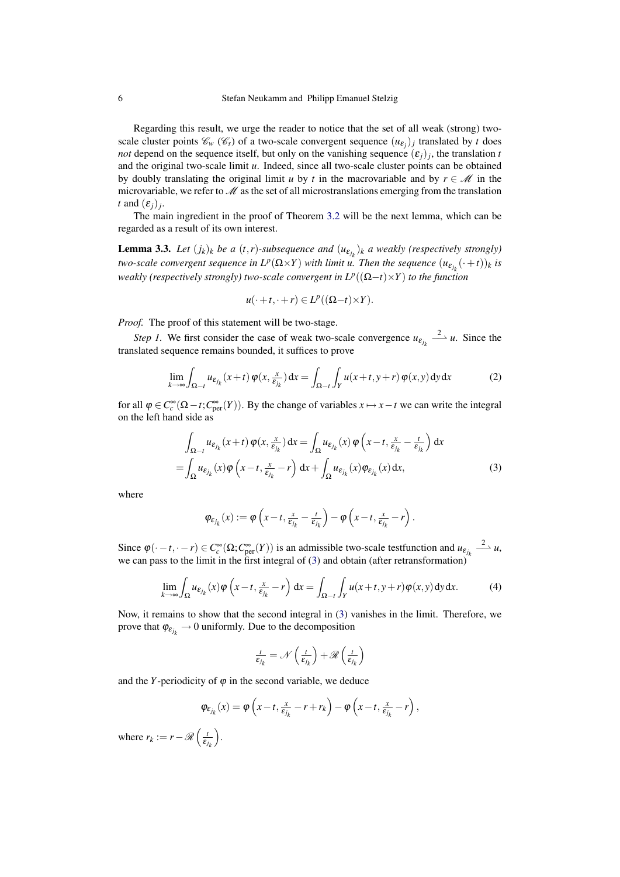Regarding this result, we urge the reader to notice that the set of all weak (strong) twoscale cluster points  $\mathcal{C}_w(\mathcal{C}_s)$  of a two-scale convergent sequence  $(u_{\varepsilon_j})_j$  translated by *t* does *not* depend on the sequence itself, but only on the vanishing sequence  $(\varepsilon_j)_j$ , the translation *t* and the original two-scale limit *u*. Indeed, since all two-scale cluster points can be obtained by doubly translating the original limit *u* by *t* in the macrovariable and by  $r \in \mathcal{M}$  in the microvariable, we refer to  $\mathcal M$  as the set of all microstranslations emerging from the translation *t* and  $(\varepsilon_j)_j$ .

The main ingredient in the proof of Theorem [3.2](#page-4-1) will be the next lemma, which can be regarded as a result of its own interest.

<span id="page-5-2"></span>**Lemma 3.3.** Let  $(j_k)_k$  be a  $(t, r)$ -subsequence and  $(u_{\varepsilon_{j_k}})_k$  a weakly (respectively strongly) *two-scale convergent sequence in*  $L^p(\Omega \times Y)$  *with limit u. Then the sequence*  $(u_{\varepsilon_{j_k}}(\cdot+t))_k$  is *weakly (respectively strongly) two-scale convergent in L<sup>p</sup>* ((Ω−*t*)×*Y*) *to the function*

<span id="page-5-1"></span>
$$
u(\cdot+t,\cdot+r)\in L^p((\Omega-t)\times Y).
$$

*Proof.* The proof of this statement will be two-stage.

*Step 1.* We first consider the case of weak two-scale convergence  $u_{\varepsilon_{j_k}} \xrightarrow{2} u$ . Since the translated sequence remains bounded, it suffices to prove

$$
\lim_{k \to \infty} \int_{\Omega - t} u_{\varepsilon_{j_k}}(x + t) \, \varphi(x, \frac{x}{\varepsilon_{j_k}}) \, dx = \int_{\Omega - t} \int_Y u(x + t, y + r) \, \varphi(x, y) \, dy \, dx \tag{2}
$$

for all  $\varphi \in C_c^{\infty}(\Omega - t; C_{\text{per}}^{\infty}(Y))$ . By the change of variables  $x \mapsto x - t$  we can write the integral on the left hand side as

$$
\int_{\Omega-t} u_{\varepsilon_{j_k}}(x+t) \varphi(x, \frac{x}{\varepsilon_{j_k}}) dx = \int_{\Omega} u_{\varepsilon_{j_k}}(x) \varphi\left(x-t, \frac{x}{\varepsilon_{j_k}} - \frac{t}{\varepsilon_{j_k}}\right) dx
$$

$$
= \int_{\Omega} u_{\varepsilon_{j_k}}(x) \varphi\left(x-t, \frac{x}{\varepsilon_{j_k}} - r\right) dx + \int_{\Omega} u_{\varepsilon_{j_k}}(x) \varphi_{\varepsilon_{j_k}}(x) dx,
$$
(3)

where

<span id="page-5-0"></span>
$$
\varphi_{\varepsilon_{j_k}}(x) := \varphi\left(x - t, \frac{x}{\varepsilon_{j_k}} - \frac{t}{\varepsilon_{j_k}}\right) - \varphi\left(x - t, \frac{x}{\varepsilon_{j_k}} - r\right).
$$

Since  $\varphi(\cdot - t, \cdot - r) \in C_c^{\infty}(\Omega; C_{\text{per}}^{\infty}(Y))$  is an admissible two-scale testfunction and  $u_{\varepsilon_{j_k}} \xrightarrow{2} u$ , we can pass to the limit in the first integral of [\(3\)](#page-5-0) and obtain (after retransformation)

$$
\lim_{k \to \infty} \int_{\Omega} u_{\varepsilon_{j_k}}(x) \varphi \left(x - t, \frac{x}{\varepsilon_{j_k}} - r\right) dx = \int_{\Omega - t} \int_Y u(x + t, y + r) \varphi(x, y) dy dx.
$$
 (4)

Now, it remains to show that the second integral in [\(3\)](#page-5-0) vanishes in the limit. Therefore, we prove that  $\varphi_{\varepsilon_{j_k}} \to 0$  uniformly. Due to the decomposition

$$
\frac{t}{\epsilon_{j_k}} = \mathcal{N}\left(\frac{t}{\epsilon_{j_k}}\right) + \mathscr{R}\left(\frac{t}{\epsilon_{j_k}}\right)
$$

and the *Y*-periodicity of  $\varphi$  in the second variable, we deduce

$$
\varphi_{\varepsilon_{j_k}}(x) = \varphi\left(x - t, \frac{x}{\varepsilon_{j_k}} - r + r_k\right) - \varphi\left(x - t, \frac{x}{\varepsilon_{j_k}} - r\right),
$$

where  $r_k := r - \mathcal{R}\left(\frac{t}{\varepsilon}\right)$  $\varepsilon_{j_k}$ .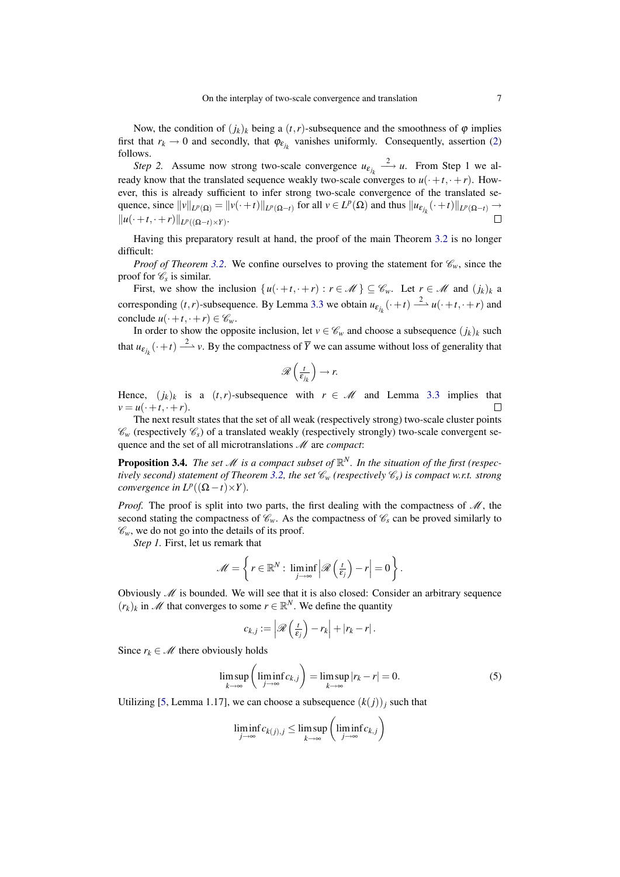Now, the condition of  $(j_k)_k$  being a  $(t, r)$ -subsequence and the smoothness of  $\varphi$  implies first that  $r_k \to 0$  and secondly, that  $\varphi_{\varepsilon_{j_k}}$  vanishes uniformly. Consequently, assertion [\(2\)](#page-5-1) follows.

*Step 2.* Assume now strong two-scale convergence  $u_{\varepsilon_{j_k}} \xrightarrow{2} u$ . From Step 1 we already know that the translated sequence weakly two-scale converges to  $u(\cdot+t, \cdot+r)$ . However, this is already sufficient to infer strong two-scale convergence of the translated sequence, since  $||v||_{L^p(\Omega)} = ||v(\cdot + t)||_{L^p(\Omega - t)}$  for all  $v \in L^p(\Omega)$  and thus  $||u_{\varepsilon_{j_k}}(\cdot + t)||_{L^p(\Omega - t)} \to$  $\Box$  $||u(\cdot+t,\cdot+r)||_{L^p((\Omega-t)\times Y)}$ .

Having this preparatory result at hand, the proof of the main Theorem [3.2](#page-4-1) is no longer difficult:

*Proof of Theorem [3.2](#page-4-1).* We confine ourselves to proving the statement for  $\mathcal{C}_w$ , since the proof for  $\mathscr{C}_s$  is similar.

First, we show the inclusion  $\{u(\cdot+t,\cdot+r): r \in \mathcal{M}\}\subseteq \mathcal{C}_w$ . Let  $r \in \mathcal{M}$  and  $(j_k)_k$  a corresponding  $(t, r)$ -subsequence. By Lemma [3.3](#page-5-2) we obtain  $u_{\varepsilon_{j_k}}(\cdot + t) \xrightarrow{2} u(\cdot + t, \cdot + r)$  and conclude  $u(\cdot+t,\cdot+r) \in \mathscr{C}_w$ .

In order to show the opposite inclusion, let  $v \in \mathcal{C}_w$  and choose a subsequence  $(j_k)_k$  such that  $u_{\varepsilon_{j_k}}(\cdot+t) \stackrel{2}{\longrightarrow} v$ . By the compactness of  $\overline{Y}$  we can assume without loss of generality that

$$
\mathscr{R}\left(\frac{t}{\varepsilon_{j_k}}\right)\to r.
$$

Hence,  $(j_k)_k$  is a  $(t, r)$ -subsequence with  $r \in \mathcal{M}$  and Lemma [3.3](#page-5-2) implies that  $v = u(\cdot + t, \cdot + r).$  $\Box$ 

The next result states that the set of all weak (respectively strong) two-scale cluster points  $\mathcal{C}_w$  (respectively  $\mathcal{C}_s$ ) of a translated weakly (respectively strongly) two-scale convergent sequence and the set of all microtranslations  $M$  are *compact*:

<span id="page-6-1"></span>**Proposition 3.4.** *The set M* is a compact subset of  $\mathbb{R}^N$ . In the situation of the first (respec-*tively second) statement of Theorem [3.2,](#page-4-1) the set*  $\mathcal{C}_w$  (respectively  $\mathcal{C}_s$ ) is compact w.r.t. strong *convergence in*  $L^p((\Omega - t) \times Y)$ *.* 

*Proof.* The proof is split into two parts, the first dealing with the compactness of  $M$ , the second stating the compactness of  $\mathcal{C}_{w}$ . As the compactness of  $\mathcal{C}_{s}$  can be proved similarly to  $\mathcal{C}_w$ , we do not go into the details of its proof.

*Step 1.* First, let us remark that

$$
\mathscr{M} = \left\{ r \in \mathbb{R}^N : \liminf_{j \to \infty} \left| \mathscr{R} \left( \frac{t}{\varepsilon_j} \right) - r \right| = 0 \right\}.
$$

Obviously  $\mathcal M$  is bounded. We will see that it is also closed: Consider an arbitrary sequence  $(r_k)_k$  in M that converges to some  $r \in \mathbb{R}^N$ . We define the quantity

<span id="page-6-0"></span>
$$
c_{k,j} := \left| \mathscr{R}\left(\frac{t}{\varepsilon_j}\right) - r_k \right| + |r_k - r|.
$$

Since  $r_k \in \mathcal{M}$  there obviously holds

$$
\limsup_{k \to \infty} \left( \liminf_{j \to \infty} c_{k,j} \right) = \limsup_{k \to \infty} |r_k - r| = 0.
$$
 (5)

Utilizing [\[5,](#page-17-2) Lemma 1.17], we can choose a subsequence  $(k(j))_j$  such that

$$
\liminf_{j\to\infty}c_{k(j),j}\leq \limsup_{k\to\infty}\left(\liminf_{j\to\infty}c_{k,j}\right)
$$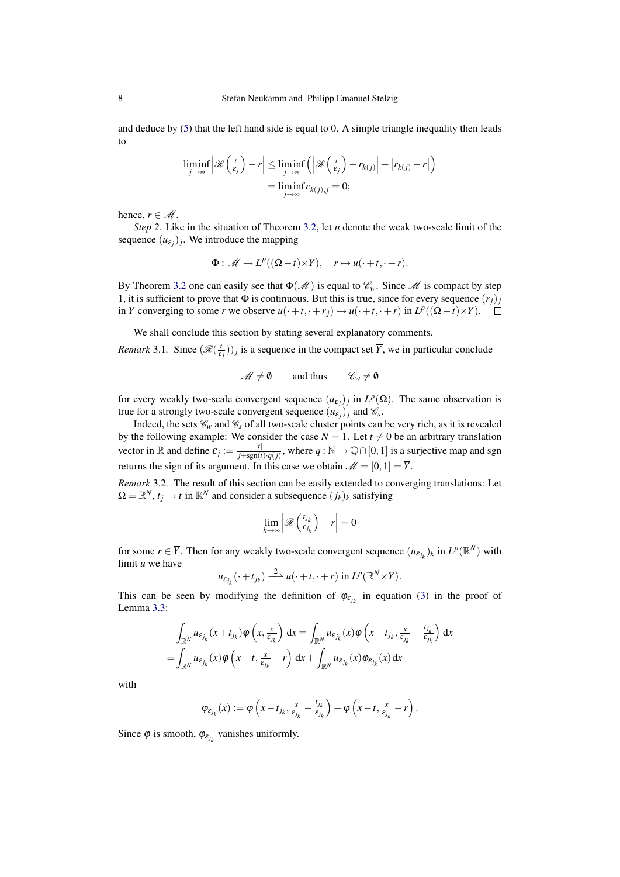and deduce by [\(5\)](#page-6-0) that the left hand side is equal to 0. A simple triangle inequality then leads to

$$
\liminf_{j \to \infty} \left| \mathcal{R} \left( \frac{t}{\varepsilon_j} \right) - r \right| \le \liminf_{j \to \infty} \left( \left| \mathcal{R} \left( \frac{t}{\varepsilon_j} \right) - r_{k(j)} \right| + \left| r_{k(j)} - r \right| \right)
$$
\n
$$
= \liminf_{j \to \infty} c_{k(j),j} = 0;
$$

hence,  $r \in M$ .

*Step 2.* Like in the situation of Theorem [3.2,](#page-4-1) let *u* denote the weak two-scale limit of the sequence  $(u_{\varepsilon_j})_j$ . We introduce the mapping

$$
\Phi: \mathscr{M} \to L^p((\Omega - t) \times Y), \quad r \mapsto u(\cdot + t, \cdot + r).
$$

By Theorem [3.2](#page-4-1) one can easily see that  $\Phi(\mathcal{M})$  is equal to  $\mathcal{C}_w$ . Since  $\mathcal M$  is compact by step 1, it is sufficient to prove that  $\Phi$  is continuous. But this is true, since for every sequence  $(r_i)$ in  $\overline{Y}$  converging to some *r* we observe  $u(\cdot+t, \cdot+r_j) \to u(\cdot+t, \cdot+r)$  in  $L^p((\Omega-t) \times Y)$ .

We shall conclude this section by stating several explanatory comments.

*Remark* 3.1*.* Since  $(\mathcal{R}(\frac{1}{\epsilon}))$  $(\frac{t}{\epsilon_j})$ )<sub>*j*</sub> is a sequence in the compact set  $\overline{Y}$ , we in particular conclude

$$
\mathscr{M} \neq \emptyset \qquad \text{and thus} \qquad \mathscr{C}_w \neq \emptyset
$$

for every weakly two-scale convergent sequence  $(u_{\varepsilon_j})_j$  in  $L^p(\Omega)$ . The same observation is true for a strongly two-scale convergent sequence  $(u_{\varepsilon_j})_j$  and  $\mathscr{C}_s$ .

Indeed, the sets  $\mathcal{C}_w$  and  $\mathcal{C}_s$  of all two-scale cluster points can be very rich, as it is revealed by the following example: We consider the case  $N = 1$ . Let  $t \neq 0$  be an arbitrary translation vector in R and define  $\varepsilon_j := \frac{|t|}{i + \text{sgn}(t)}$  $\frac{|t|}{j + \text{sgn}(t) \cdot q(j)}$ , where  $q : \mathbb{N} \to \mathbb{Q} \cap [0,1]$  is a surjective map and sgn returns the sign of its argument. In this case we obtain  $\mathcal{M} = [0,1] = \overline{Y}$ .

*Remark* 3.2*.* The result of this section can be easily extended to converging translations: Let  $\Omega = \mathbb{R}^N$ ,  $t_j \to t$  in  $\mathbb{R}^N$  and consider a subsequence  $(j_k)_k$  satisfying

$$
\lim_{k\to\infty}\left|\mathscr{R}\left(\frac{t_{j_k}}{\varepsilon_{j_k}}\right)-r\right|=0
$$

for some  $r \in \overline{Y}$ . Then for any weakly two-scale convergent sequence  $(u_{\varepsilon_{j_k}})_k$  in  $L^p(\mathbb{R}^N)$  with limit *u* we have

$$
u_{\varepsilon_{j_k}}(\cdot+t_{j_k})\xrightarrow{2} u(\cdot+t,\cdot+r)\text{ in }L^p(\mathbb{R}^N\times Y).
$$

This can be seen by modifying the definition of  $\varphi_{\varepsilon_{j_k}}$  in equation [\(3\)](#page-5-0) in the proof of Lemma [3.3:](#page-5-2)

$$
\int_{\mathbb{R}^N} u_{\varepsilon_{j_k}}(x+t_{j_k}) \varphi \left(x, \frac{x}{\varepsilon_{j_k}}\right) dx = \int_{\mathbb{R}^N} u_{\varepsilon_{j_k}}(x) \varphi \left(x-t_{j_k}, \frac{x}{\varepsilon_{j_k}}-\frac{t_{j_k}}{\varepsilon_{j_k}}\right) dx
$$
  
= 
$$
\int_{\mathbb{R}^N} u_{\varepsilon_{j_k}}(x) \varphi \left(x-t, \frac{x}{\varepsilon_{j_k}}-r\right) dx + \int_{\mathbb{R}^N} u_{\varepsilon_{j_k}}(x) \varphi_{\varepsilon_{j_k}}(x) dx
$$

with

$$
\varphi_{\varepsilon_{j_k}}(x) := \varphi\left(x - t_{j_k}, \frac{x}{\varepsilon_{j_k}} - \frac{t_{j_k}}{\varepsilon_{j_k}}\right) - \varphi\left(x - t, \frac{x}{\varepsilon_{j_k}} - r\right).
$$

Since  $\varphi$  is smooth,  $\varphi_{\varepsilon_{j_k}}$  vanishes uniformly.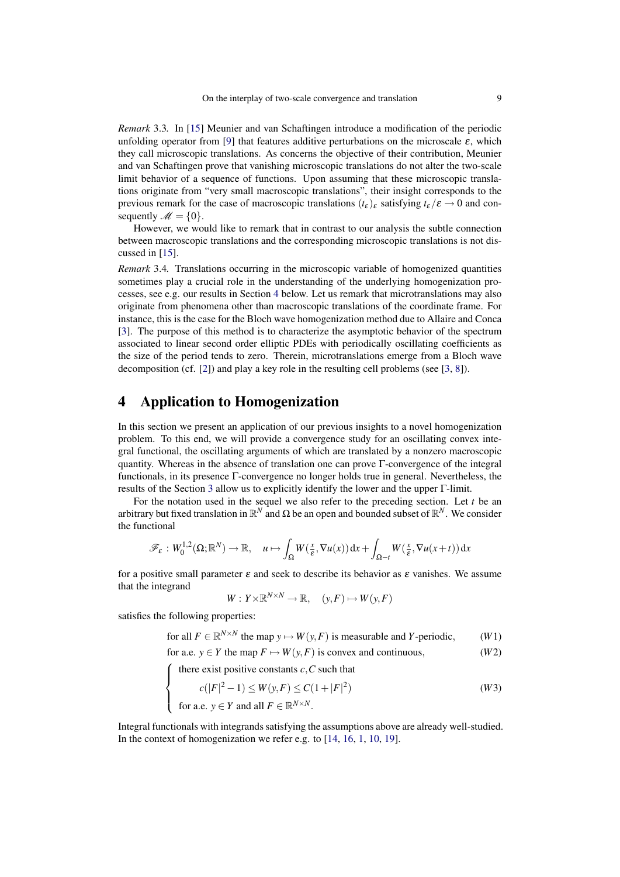*Remark* 3.3*.* In [\[15\]](#page-18-11) Meunier and van Schaftingen introduce a modification of the periodic unfolding operator from [\[9\]](#page-18-2) that features additive perturbations on the microscale  $\varepsilon$ , which they call microscopic translations. As concerns the objective of their contribution, Meunier and van Schaftingen prove that vanishing microscopic translations do not alter the two-scale limit behavior of a sequence of functions. Upon assuming that these microscopic translations originate from "very small macroscopic translations", their insight corresponds to the previous remark for the case of macroscopic translations  $(t_{\epsilon})_{\epsilon}$  satisfying  $t_{\epsilon}/\epsilon \rightarrow 0$  and consequently  $\mathscr{M} = \{0\}.$ 

However, we would like to remark that in contrast to our analysis the subtle connection between macroscopic translations and the corresponding microscopic translations is not discussed in [\[15\]](#page-18-11).

*Remark* 3.4*.* Translations occurring in the microscopic variable of homogenized quantities sometimes play a crucial role in the understanding of the underlying homogenization processes, see e.g. our results in Section [4](#page-8-0) below. Let us remark that microtranslations may also originate from phenomena other than macroscopic translations of the coordinate frame. For instance, this is the case for the Bloch wave homogenization method due to Allaire and Conca [\[3\]](#page-17-3). The purpose of this method is to characterize the asymptotic behavior of the spectrum associated to linear second order elliptic PDEs with periodically oscillating coefficients as the size of the period tends to zero. Therein, microtranslations emerge from a Bloch wave decomposition (cf. [\[2\]](#page-17-4)) and play a key role in the resulting cell problems (see [\[3,](#page-17-3) [8\]](#page-18-12)).

#### <span id="page-8-0"></span>4 Application to Homogenization

In this section we present an application of our previous insights to a novel homogenization problem. To this end, we will provide a convergence study for an oscillating convex integral functional, the oscillating arguments of which are translated by a nonzero macroscopic quantity. Whereas in the absence of translation one can prove Γ-convergence of the integral functionals, in its presence Γ-convergence no longer holds true in general. Nevertheless, the results of the Section [3](#page-4-2) allow us to explicitly identify the lower and the upper Γ-limit.

For the notation used in the sequel we also refer to the preceding section. Let *t* be an arbitrary but fixed translation in  $\mathbb{R}^N$  and  $\Omega$  be an open and bounded subset of  $\mathbb{R}^N$ . We consider the functional

$$
\mathscr{F}_{\varepsilon}: W_0^{1,2}(\Omega; \mathbb{R}^N) \to \mathbb{R}, \quad u \mapsto \int_{\Omega} W(\frac{x}{\varepsilon}, \nabla u(x)) dx + \int_{\Omega - t} W(\frac{x}{\varepsilon}, \nabla u(x + t)) dx
$$

for a positive small parameter  $\varepsilon$  and seek to describe its behavior as  $\varepsilon$  vanishes. We assume that the integrand

<span id="page-8-3"></span><span id="page-8-2"></span><span id="page-8-1"></span>
$$
W: Y \times \mathbb{R}^{N \times N} \to \mathbb{R}, \quad (y, F) \mapsto W(y, F)
$$

satisfies the following properties:

 $\overline{\mathcal{L}}$ 

for all  $F \in \mathbb{R}^{N \times N}$  the map  $y \mapsto W(y, F)$  is measurable and *Y*-periodic, (*W*1)

for a.e.  $y \in Y$  the map  $F \mapsto W(y, F)$  is convex and continuous, (*W2*)

 $\sqrt{ }$  $\int$ there exist positive constants  $c$ , $C$  such that

$$
c(|F|^2 - 1) \le W(y, F) \le C(1 + |F|^2)
$$
  
for a.e.  $y \in Y$  and all  $F \in \mathbb{R}^{N \times N}$ . (W3)

Integral functionals with integrands satisfying the assumptions above are already well-studied. In the context of homogenization we refer e.g. to [\[14,](#page-18-5) [16,](#page-18-6) [1,](#page-17-0) [10,](#page-18-3) [19\]](#page-18-7).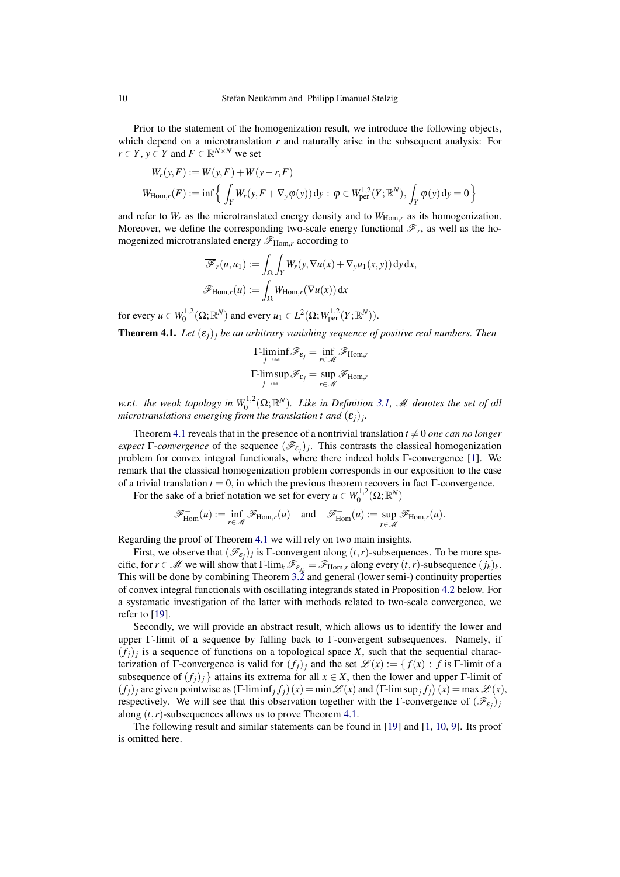Prior to the statement of the homogenization result, we introduce the following objects, which depend on a microtranslation *r* and naturally arise in the subsequent analysis: For  $r \in \overline{Y}$ ,  $y \in Y$  and  $F \in \mathbb{R}^{N \times N}$  we set

$$
W_r(y, F) := W(y, F) + W(y - r, F)
$$
  
\n
$$
W_{\text{Hom},r}(F) := \inf \left\{ \int_Y W_r(y, F + \nabla_y \varphi(y)) \, dy : \varphi \in W_{\text{per}}^{1,2}(Y; \mathbb{R}^N), \int_Y \varphi(y) \, dy = 0 \right\}
$$

and refer to  $W_r$  as the microtranslated energy density and to  $W_{\text{Hom},r}$  as its homogenization. Moreover, we define the corresponding two-scale energy functional  $\mathscr{F}_r$ , as well as the homogenized microtranslated energy  $\mathscr{F}_{\text{Hom},r}$  according to

$$
\overline{\mathscr{F}}_r(u,u_1) := \int_{\Omega} \int_Y W_r(y, \nabla u(x) + \nabla_y u_1(x,y)) \, dy \, dx,
$$

$$
\mathscr{F}_{\text{Hom},r}(u) := \int_{\Omega} W_{\text{Hom},r}(\nabla u(x)) \, dx
$$

for every  $u \in W_0^{1,2}(\Omega; \mathbb{R}^N)$  and every  $u_1 \in L^2(\Omega; W_{\text{per}}^{1,2}(Y; \mathbb{R}^N))$ .

<span id="page-9-0"></span>**Theorem 4.1.** Let  $(\varepsilon_i)_i$  be an arbitrary vanishing sequence of positive real numbers. Then

$$
\mathop{\Gamma\text{-}\liminf}_{j\to\infty}\mathscr{F}_{\varepsilon_j} = \inf_{r\in\mathscr{M}}\mathscr{F}_{\text{Hom},r}
$$

$$
\mathop{\Gamma\text{-}\limsup}_{j\to\infty}\mathscr{F}_{\varepsilon_j} = \sup_{r\in\mathscr{M}}\mathscr{F}_{\text{Hom},r}
$$

w.r.t. the weak topology in  $W_0^{1,2}(\Omega;\mathbb{R}^N)$ . Like in Definition [3.1,](#page-4-3) M denotes the set of all  $m$ icrotranslations emerging from the translation t and  $(\varepsilon_j)_j$ .

Theorem [4.1](#page-9-0) reveals that in the presence of a nontrivial translation  $t \neq 0$  *one can no longer expect* Γ-*convergence* of the sequence  $(\mathcal{F}_{\epsilon_j})_j$ . This contrasts the classical homogenization problem for convex integral functionals, where there indeed holds Γ-convergence [\[1\]](#page-17-0). We remark that the classical homogenization problem corresponds in our exposition to the case of a trivial translation  $t = 0$ , in which the previous theorem recovers in fact  $\Gamma$ -convergence.

For the sake of a brief notation we set for every  $u \in W_0^{1,2}(\Omega; \mathbb{R}^N)$ 

$$
\mathscr{F}^-_{\mathrm{Hom}}(u) := \inf_{r \in \mathscr{M}} \mathscr{F}_{\mathrm{Hom},r}(u) \quad \text{and} \quad \mathscr{F}^+_{\mathrm{Hom}}(u) := \sup_{r \in \mathscr{M}} \mathscr{F}_{\mathrm{Hom},r}(u).
$$

Regarding the proof of Theorem [4.1](#page-9-0) we will rely on two main insights.

First, we observe that  $(\mathcal{F}_{\varepsilon_j})_j$  is  $\Gamma$ -convergent along  $(t, r)$ -subsequences. To be more specific, for  $r \in \mathcal{M}$  we will show that  $\Gamma$ -lim<sub>*k*</sub>  $\mathcal{F}_{\varepsilon_{j_k}} = \mathcal{F}_{\text{Hom},r}$  along every  $(t, r)$ -subsequence  $(j_k)_k$ . This will be done by combining Theorem [3.2](#page-4-1) and general (lower semi-) continuity properties of convex integral functionals with oscillating integrands stated in Proposition [4.2](#page-9-1) below. For a systematic investigation of the latter with methods related to two-scale convergence, we refer to [\[19\]](#page-18-7).

Secondly, we will provide an abstract result, which allows us to identify the lower and upper Γ-limit of a sequence by falling back to Γ-convergent subsequences. Namely, if  $(f_j)_j$  is a sequence of functions on a topological space X, such that the sequential characterization of Γ-convergence is valid for  $(f_i)_i$  and the set  $\mathscr{L}(x) := \{ f(x) : f$  is Γ-limit of a subsequence of  $(f_i)_i$  } attains its extrema for all  $x \in X$ , then the lower and upper Γ-limit of  $(f_j)_j$  are given pointwise as  $(\Gamma\text{-lim inf}_j f_j)(x) = \min \mathscr{L}(x)$  and  $(\Gamma\text{-lim sup}_j f_j)(x) = \max \mathscr{L}(x)$ , respectively. We will see that this observation together with the Γ-convergence of  $(\mathscr{F}_{\varepsilon_j})_j$ along  $(t, r)$ -subsequences allows us to prove Theorem [4.1.](#page-9-0)

<span id="page-9-1"></span>The following result and similar statements can be found in [\[19\]](#page-18-7) and [\[1,](#page-17-0) [10,](#page-18-3) [9\]](#page-18-2). Its proof is omitted here.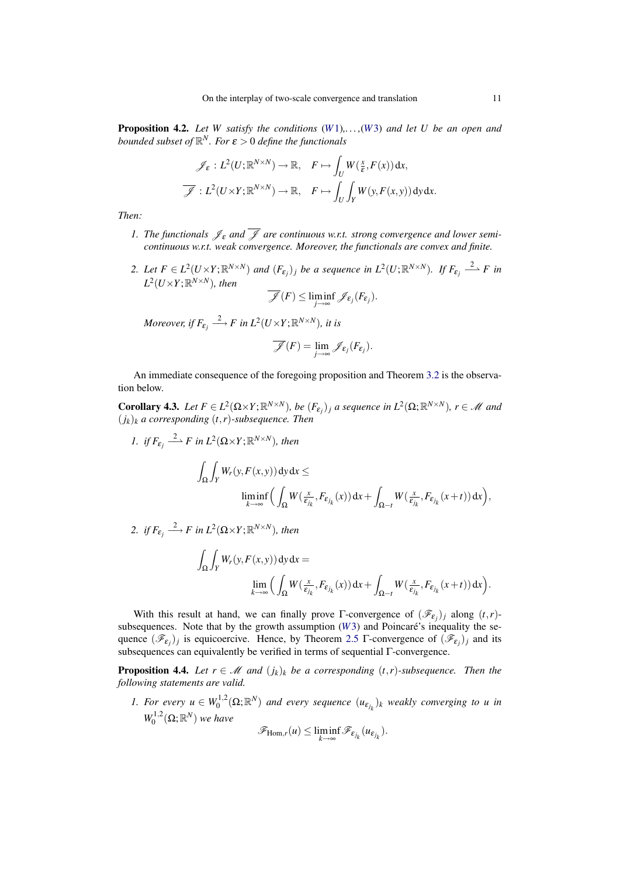Proposition 4.2. *Let W satisfy the conditions* (*[W](#page-8-1)*1)*,. . . ,*(*[W](#page-8-2)*3) *and let U be an open and bounded subset of* R *<sup>N</sup>. For* ε > 0 *define the functionals*

$$
\mathscr{J}_{\varepsilon}: L^{2}(U; \mathbb{R}^{N\times N}) \to \mathbb{R}, \quad F \mapsto \int_{U} W(\frac{x}{\varepsilon}, F(x)) dx,
$$

$$
\overline{\mathscr{J}}: L^{2}(U \times Y; \mathbb{R}^{N\times N}) \to \mathbb{R}, \quad F \mapsto \int_{U} \int_{Y} W(y, F(x, y)) dy dx.
$$

*Then:*

- *1. The functionals*  $\mathcal{J}_{\varepsilon}$  *and*  $\overline{\mathcal{J}}$  *are continuous w.r.t. strong convergence and lower semicontinuous w.r.t. weak convergence. Moreover, the functionals are convex and finite.*
- 2. Let  $F \in L^2(U \times Y; \mathbb{R}^{N \times N})$  and  $(F_{\varepsilon_j})_j$  be a sequence in  $L^2(U; \mathbb{R}^{N \times N})$ . If  $F_{\varepsilon_j} \stackrel{2}{\longrightarrow} F$  in  $L^2(U\times Y;\mathbb{R}^{N\times N})$ , then

$$
\overline{\mathscr{J}}(F) \leq \liminf_{j \to \infty} \mathscr{J}_{\varepsilon_j}(F_{\varepsilon_j}).
$$

*Moreover, if*  $F_{\varepsilon_j} \stackrel{2}{\longrightarrow} F$  in  $L^2(U\times Y; \mathbb{R}^{N\times N})$ , it is

$$
\overline{\mathscr{J}}(F) = \lim_{j \to \infty} \mathscr{J}_{\varepsilon_j}(F_{\varepsilon_j}).
$$

An immediate consequence of the foregoing proposition and Theorem [3.2](#page-4-1) is the observation below.

<span id="page-10-0"></span>**Corollary 4.3.** Let  $F \in L^2(\Omega \times Y; \mathbb{R}^{N \times N})$ , be  $(F_{\varepsilon_j})_j$  a sequence in  $L^2(\Omega; \mathbb{R}^{N \times N})$ ,  $r \in \mathcal{M}$  and (*jk*)*<sup>k</sup> a corresponding* (*t*,*r*)*-subsequence. Then*

1. *if*  $F_{\varepsilon_j} \stackrel{2}{\longrightarrow} F$  in  $L^2(\Omega \times Y; \mathbb{R}^{N \times N})$ , then Z Ω Z  $\int_Y W_r(y, F(x, y)) dy dx \le$ liminf *k*→∞  $\overline{L}$  $\int_{\Omega} W(\frac{x}{\varepsilon_j})$  $\frac{x}{\varepsilon_{j_k}}$ ,  $F_{\varepsilon_{j_k}}(x)$  dx +  $\int_{\Omega-t} W(\frac{x}{\varepsilon_j})$  $\frac{x}{\varepsilon_{j_k}}$ ,  $F_{\varepsilon_{j_k}}(x+t)$ ) dx $(x)$ ,

2. *if*  $F_{\varepsilon_j} \stackrel{2}{\longrightarrow} F$  in  $L^2(\Omega \times Y; \mathbb{R}^{N \times N})$ , then

$$
\int_{\Omega} \int_{Y} W_r(y, F(x, y)) \, dy \, dx =
$$
\n
$$
\lim_{k \to \infty} \Big( \int_{\Omega} W(\frac{x}{\varepsilon_{j_k}}, F_{\varepsilon_{j_k}}(x)) \, dx + \int_{\Omega - t} W(\frac{x}{\varepsilon_{j_k}}, F_{\varepsilon_{j_k}}(x + t)) \, dx \Big).
$$

With this result at hand, we can finally prove  $\Gamma$ -convergence of  $(\mathcal{F}_{\varepsilon_j})_j$  along  $(t, r)$ subsequences. Note that by the growth assumption  $(W3)$  $(W3)$  $(W3)$  and Poincaré's inequality the sequence  $(\mathscr{F}_{\varepsilon_j})_j$  is equicoercive. Hence, by Theorem [2.5](#page-3-2) Γ-convergence of  $(\mathscr{F}_{\varepsilon_j})_j$  and its subsequences can equivalently be verified in terms of sequential Γ-convergence.

<span id="page-10-1"></span>**Proposition 4.4.** Let  $r \in \mathcal{M}$  and  $(j_k)_k$  be a corresponding  $(t, r)$ -subsequence. Then the *following statements are valid.*

*1. For every*  $u \in W_0^{1,2}(\Omega;\mathbb{R}^N)$  *and every sequence*  $(u_{\varepsilon_{j_k}})_k$  *weakly converging to u in*  $W_0^{1,2}(\Omega;\mathbb{R}^N)$  *we have* 

$$
\mathscr{F}_{\mathrm{Hom},r}(u) \leq \liminf_{k \to \infty} \mathscr{F}_{\varepsilon_{j_k}}(u_{\varepsilon_{j_k}}).
$$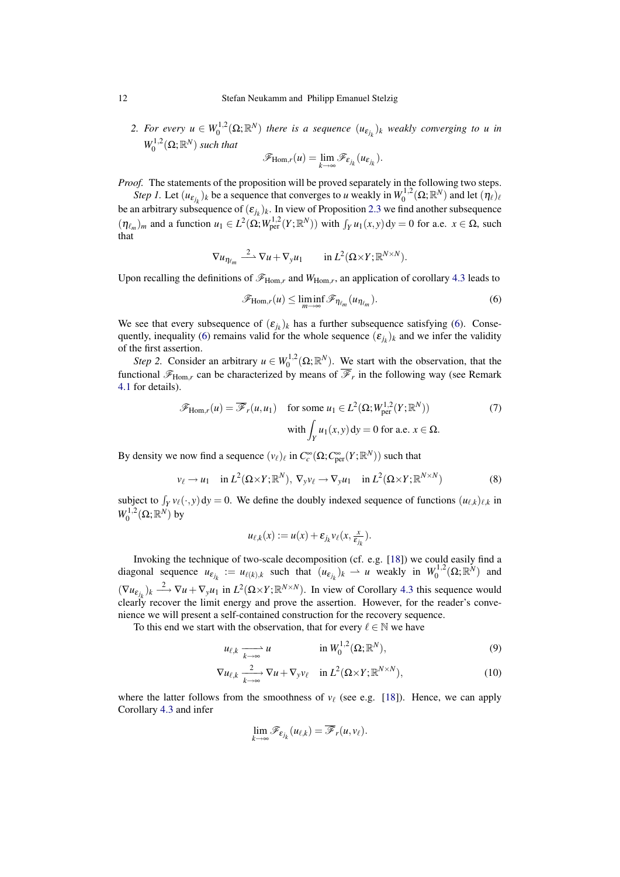2. For every  $u \in W_0^{1,2}(\Omega;\mathbb{R}^N)$  there is a sequence  $(u_{\varepsilon_{j_k}})_k$  weakly converging to u in  $W_0^{1,2}(\Omega;\mathbb{R}^N)$  *such that* 

$$
\mathscr{F}_{\mathrm{Hom},r}(u)=\lim_{k\to\infty}\mathscr{F}_{\varepsilon_{j_k}}(u_{\varepsilon_{j_k}}).
$$

*Proof.* The statements of the proposition will be proved separately in the following two steps.

*Step 1.* Let  $(u_{\varepsilon_{j_k}})_k$  be a sequence that converges to *u* weakly in  $W_0^{1,2}(\Omega;\mathbb{R}^N)$  and let  $(\eta_\ell)_\ell$ be an arbitrary subsequence of  $(\varepsilon_{j_k})_k$ . In view of Proposition [2.3](#page-3-0) we find another subsequence  $(\eta_{\ell_m})_m$  and a function  $u_1 \in L^2(\Omega; W^{1,2}_{per}(Y; \mathbb{R}^N))$  with  $\int_Y u_1(x, y) dy = 0$  for a.e.  $x \in \Omega$ , such that

$$
\nabla u_{\eta_{\ell_m}} \stackrel{2}{\longrightarrow} \nabla u + \nabla_y u_1 \quad \text{in } L^2(\Omega \times Y; \mathbb{R}^{N \times N}).
$$

Upon recalling the definitions of  $\mathscr{F}_{\text{Hom},r}$  and  $W_{\text{Hom},r}$ , an application of corollary [4.3](#page-10-0) leads to

<span id="page-11-2"></span><span id="page-11-0"></span>
$$
\mathscr{F}_{\text{Hom},r}(u) \le \liminf_{m \to \infty} \mathscr{F}_{\eta_{\ell_m}}(u_{\eta_{\ell_m}}). \tag{6}
$$

We see that every subsequence of  $(\varepsilon_{j_k})_k$  has a further subsequence satisfying [\(6\)](#page-11-0). Conse-quently, inequality [\(6\)](#page-11-0) remains valid for the whole sequence  $(\varepsilon_{j_k})_k$  and we infer the validity of the first assertion.

*Step 2.* Consider an arbitrary  $u \in W_0^{1,2}(\Omega;\mathbb{R}^N)$ . We start with the observation, that the functional  $\mathscr{F}_{Hom,r}$  can be characterized by means of  $\mathscr{F}_r$  in the following way (see Remark [4.1](#page-15-0) for details).

$$
\mathscr{F}_{\text{Hom},r}(u) = \overline{\mathscr{F}}_r(u, u_1) \quad \text{for some } u_1 \in L^2(\Omega; W^{1,2}_{\text{per}}(Y; \mathbb{R}^N))
$$
  
with 
$$
\int_Y u_1(x, y) dy = 0 \text{ for a.e. } x \in \Omega.
$$
 (7)

By density we now find a sequence  $(v_\ell)_\ell$  in  $C_c^\infty(\Omega; C_{\text{per}}^\infty(Y; \mathbb{R}^N))$  such that

$$
v_{\ell} \to u_1 \quad \text{in } L^2(\Omega \times Y; \mathbb{R}^N), \ \nabla_y v_{\ell} \to \nabla_y u_1 \quad \text{in } L^2(\Omega \times Y; \mathbb{R}^{N \times N})
$$
 (8)

subject to  $\int_Y v_\ell(\cdot, y) dy = 0$ . We define the doubly indexed sequence of functions  $(u_{\ell,k})_{\ell,k}$  in  $W_0^{1,2}(\Omega;\mathbb{R}^N)$  by

<span id="page-11-1"></span>
$$
u_{\ell,k}(x) := u(x) + \varepsilon_{j_k} v_{\ell}(x, \frac{x}{\varepsilon_{j_k}}).
$$

Invoking the technique of two-scale decomposition (cf. e.g. [\[18\]](#page-18-4)) we could easily find a diagonal sequence  $u_{\varepsilon_{j_k}} := u_{\ell(k),k}$  such that  $(u_{\varepsilon_{j_k}})_k \rightharpoonup u$  weakly in  $W_0^{1,2}(\Omega; \mathbb{R}^N)$  and  $(\nabla u_{\varepsilon_{j_k}})_k \xrightarrow{2} \nabla u + \nabla_y u_1$  in  $L^2(\Omega \times Y; \mathbb{R}^{N \times N})$ . In view of Corollary [4.3](#page-10-0) this sequence would clearly recover the limit energy and prove the assertion. However, for the reader's convenience we will present a self-contained construction for the recovery sequence.

To this end we start with the observation, that for every  $\ell \in \mathbb{N}$  we have

$$
u_{\ell,k} \xrightarrow[k \to \infty]{} u \qquad \qquad \text{in } W_0^{1,2}(\Omega; \mathbb{R}^N), \tag{9}
$$

$$
\nabla u_{\ell,k} \xrightarrow[k \to \infty]{} \nabla u + \nabla_y v_\ell \quad \text{in } L^2(\Omega \times Y; \mathbb{R}^{N \times N}),
$$
\n(10)

where the latter follows from the smoothness of  $v_\ell$  (see e.g. [\[18\]](#page-18-4)). Hence, we can apply Corollary [4.3](#page-10-0) and infer

<span id="page-11-3"></span>
$$
\lim_{k\to\infty}\mathscr{F}_{\varepsilon_{j_k}}(u_{\ell,k})=\overline{\mathscr{F}}_r(u,v_{\ell}).
$$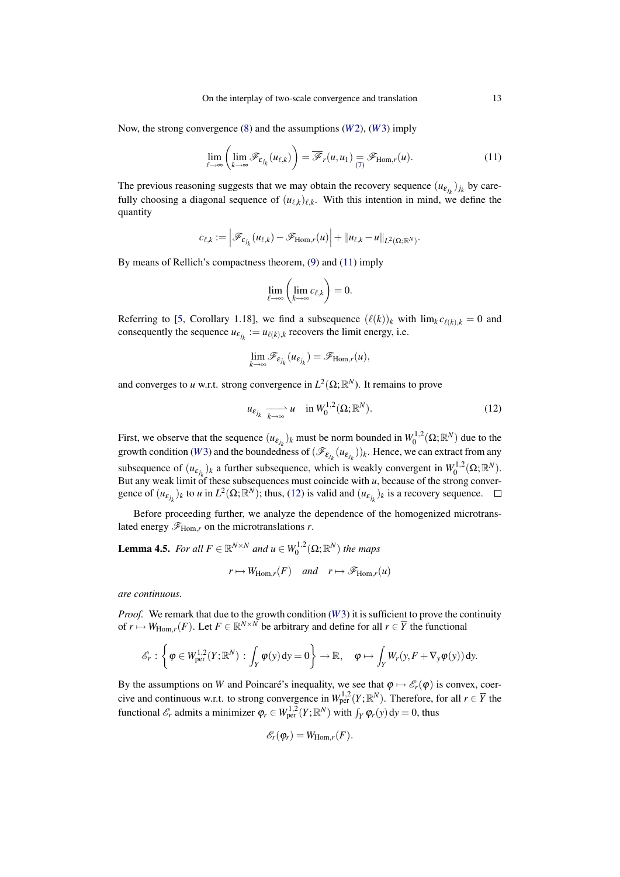Now, the strong convergence [\(8\)](#page-11-1) and the assumptions (*[W](#page-8-3)*2), (*[W](#page-8-2)*3) imply

$$
\lim_{\ell \to \infty} \left( \lim_{k \to \infty} \mathscr{F}_{\varepsilon_{j_k}}(u_{\ell,k}) \right) = \overline{\mathscr{F}}_r(u, u_1) = \mathscr{F}_{\text{Hom},r}(u). \tag{11}
$$

The previous reasoning suggests that we may obtain the recovery sequence  $(u_{\varepsilon_{j_k}})_{j_k}$  by carefully choosing a diagonal sequence of  $(u_{\ell,k})_{\ell,k}$ . With this intention in mind, we define the quantity

$$
c_{\ell,k}:=\left|\mathscr{F}_{\varepsilon_{j_k}}(u_{\ell,k})-\mathscr{F}_{\mathrm{Hom},r}(u)\right|+\|u_{\ell,k}-u\|_{L^2(\Omega;\mathbb{R}^N)}.
$$

By means of Rellich's compactness theorem, [\(9\)](#page-11-3) and [\(11\)](#page-12-0) imply

<span id="page-12-0"></span>
$$
\lim_{\ell \to \infty} \left( \lim_{k \to \infty} c_{\ell,k} \right) = 0.
$$

Referring to [\[5,](#page-17-2) Corollary 1.18], we find a subsequence  $(\ell(k))_k$  with  $\lim_k c_{\ell(k),k} = 0$  and consequently the sequence  $u_{\varepsilon_{j_k}} := u_{\ell(k),k}$  recovers the limit energy, i.e.

$$
\lim_{k\to\infty}\mathscr{F}_{\varepsilon_{j_k}}(u_{\varepsilon_{j_k}})=\mathscr{F}_{\mathrm{Hom},r}(u),
$$

and converges to *u* w.r.t. strong convergence in  $L^2(\Omega;\mathbb{R}^N)$ . It remains to prove

<span id="page-12-1"></span>
$$
u_{\varepsilon_{j_k}} \xrightarrow[k \to \infty]{} u \quad \text{in } W_0^{1,2}(\Omega; \mathbb{R}^N). \tag{12}
$$

First, we observe that the sequence  $(u_{\varepsilon_{j_k}})_k$  must be norm bounded in  $W_0^{1,2}(\Omega;\mathbb{R}^N)$  due to the growth condition (*[W](#page-8-2)*3) and the boundedness of  $(\mathcal{F}_{\varepsilon_{j_k}}(u_{\varepsilon_{j_k}}))_k$ . Hence, we can extract from any subsequence of  $(u_{\epsilon_{j_k}})_k$  a further subsequence, which is weakly convergent in  $W_0^{1,2}(\Omega;\mathbb{R}^N)$ . But any weak limit of these subsequences must coincide with *u*, because of the strong convergence of  $(u_{\varepsilon_{j_k}})_k$  to *u* in  $L^2(\Omega; \mathbb{R}^N)$ ; thus, [\(12\)](#page-12-1) is valid and  $(u_{\varepsilon_{j_k}})_k$  is a recovery sequence.

Before proceeding further, we analyze the dependence of the homogenized microtranslated energy  $\mathcal{F}_{\text{Hom},r}$  on the microtranslations *r*.

<span id="page-12-2"></span>**Lemma 4.5.** For all 
$$
F \in \mathbb{R}^{N \times N}
$$
 and  $u \in W_0^{1,2}(\Omega; \mathbb{R}^N)$  the maps  
\n $r \mapsto W_{\text{Hom},r}(F)$  and  $r \mapsto \mathscr{F}_{\text{Hom},r}(u)$ 

*are continuous.*

*Proof.* We remark that due to the growth condition (*[W](#page-8-2)*3) it is sufficient to prove the continuity of  $r \mapsto W_{\text{Hom},r}(F)$ . Let  $F \in \mathbb{R}^{N \times N}$  be arbitrary and define for all  $r \in \overline{Y}$  the functional

$$
\mathscr{E}_r:\left\{\boldsymbol{\varphi}\in W^{1,2}_{\rm per}(Y;{\mathbb R}^N):\int_Y\boldsymbol{\varphi}(y)\,{\rm d}y=0\right\}\to{\mathbb R},\quad \boldsymbol{\varphi}\mapsto\int_YW_r(y,F+\nabla_y\boldsymbol{\varphi}(y))\,{\rm d}y.
$$

By the assumptions on *W* and Poincaré's inequality, we see that  $\varphi \mapsto \mathscr{E}_r(\varphi)$  is convex, coercive and continuous w.r.t. to strong convergence in  $W^{1,2}_{per}(Y; \mathbb{R}^N)$ . Therefore, for all  $r \in \overline{Y}$  the functional  $\mathscr{E}_r$  admits a minimizer  $\varphi_r \in W^{1,2}_{per}(Y; \mathbb{R}^N)$  with  $\int_Y \varphi_r(y) dy = 0$ , thus

$$
\mathscr{E}_r(\varphi_r)=W_{\text{Hom},r}(F).
$$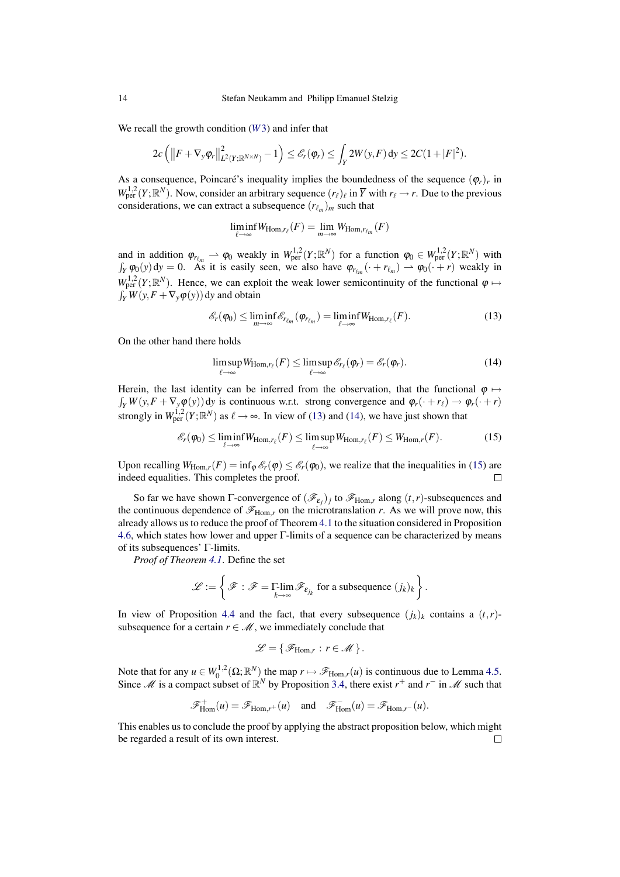We recall the growth condition (*[W](#page-8-2)*3) and infer that

$$
2c\left(\left\|F+\nabla_y\varphi_r\right\|_{L^2(Y;\mathbb{R}^{N\times N})}^2-1\right)\leq \mathscr{E}_r(\varphi_r)\leq \int_Y 2W(y,F)\,dy\leq 2C(1+|F|^2).
$$

As a consequence, Poincaré's inequality implies the boundedness of the sequence  $(\varphi_r)_r$  in  $W^{1,2}_{per}(Y;\mathbb{R}^N)$ . Now, consider an arbitrary sequence  $(r_\ell)_\ell$  in  $\overline{Y}$  with  $r_\ell \to r$ . Due to the previous considerations, we can extract a subsequence  $(r_{\ell_m})_m$  such that

<span id="page-13-0"></span>
$$
\liminf_{\ell \to \infty} W_{\text{Hom},r_{\ell}}(F) = \lim_{m \to \infty} W_{\text{Hom},r_{\ell_m}}(F)
$$

and in addition  $\varphi_{r_{\ell_m}} \rightharpoonup \varphi_0$  weakly in  $W_{\text{per}}^{1,2}(Y; \mathbb{R}^N)$  for a function  $\varphi_0 \in W_{\text{per}}^{1,2}(Y; \mathbb{R}^N)$  with  $\int_Y \varphi_0(y) dy = 0$ . As it is easily seen, we also have  $\varphi_{r_{\ell_m}}(\cdot + r_{\ell_m}) \to \varphi_0(\cdot + r)$  weakly in  $W^{1,2}_{per}(Y;\mathbb{R}^N)$ . Hence, we can exploit the weak lower semicontinuity of the functional  $\varphi \mapsto$  $\int_Y W(y, F + \nabla_y \varphi(y)) dy$  and obtain

$$
\mathcal{E}_r(\varphi_0) \le \liminf_{m \to \infty} \mathcal{E}_{r_{\ell_m}}(\varphi_{r_{\ell_m}}) = \liminf_{\ell \to \infty} W_{\text{Hom},r_{\ell}}(F). \tag{13}
$$

On the other hand there holds

<span id="page-13-2"></span><span id="page-13-1"></span>
$$
\limsup_{\ell \to \infty} W_{\text{Hom},r_{\ell}}(F) \leq \limsup_{\ell \to \infty} \mathcal{E}_{r_{\ell}}(\varphi_r) = \mathcal{E}_r(\varphi_r). \tag{14}
$$

 $\int_Y W(y, F + \nabla_y \varphi(y))$  dy is continuous w.r.t. strong convergence and  $\varphi_r(\cdot + r_\ell) \to \varphi_r(\cdot + r)$ Herein, the last identity can be inferred from the observation, that the functional  $\varphi \mapsto$ strongly in  $W^{1,2}_{per}(Y; \mathbb{R}^N)$  as  $\ell \to \infty$ . In view of [\(13\)](#page-13-0) and [\(14\)](#page-13-1), we have just shown that

$$
\mathscr{E}_r(\varphi_0) \le \liminf_{\ell \to \infty} W_{\text{Hom},r_\ell}(F) \le \limsup_{\ell \to \infty} W_{\text{Hom},r_\ell}(F) \le W_{\text{Hom},r}(F). \tag{15}
$$

Upon recalling  $W_{\text{Hom},r}(F) = \inf_{\phi} \mathcal{E}_r(\phi) \leq \mathcal{E}_r(\phi)$ , we realize that the inequalities in [\(15\)](#page-13-2) are indeed equalities. This completes the proof.  $\Box$ 

So far we have shown  $\Gamma$ -convergence of  $(\mathscr{F}_{\varepsilon_j})_j$  to  $\mathscr{F}_{\text{Hom},r}$  along  $(t,r)$ -subsequences and the continuous dependence of  $\mathscr{F}_{\text{Hom},r}$  on the microtranslation *r*. As we will prove now, this already allows us to reduce the proof of Theorem [4.1](#page-9-0) to the situation considered in Proposition [4.6,](#page-13-3) which states how lower and upper Γ-limits of a sequence can be characterized by means of its subsequences' Γ-limits.

*Proof of Theorem [4.1](#page-9-0)*. Define the set

$$
\mathscr{L}:=\left\{\,\mathscr{F}\,:\,\mathscr{F}=\mathop{\Gamma\!\text{-}\!\lim}_{k\to\infty}\mathscr{F}_{\epsilon_{j_k}}\text{ for a subsequence } (j_k)_k\,\right\}.
$$

In view of Proposition [4.4](#page-10-1) and the fact, that every subsequence  $(j_k)_k$  contains a  $(t, r)$ subsequence for a certain  $r \in \mathcal{M}$ , we immediately conclude that

$$
\mathscr{L} = \{ \mathscr{F}_{\text{Hom},r} : r \in \mathscr{M} \}.
$$

Note that for any  $u \in W_0^{1,2}(\Omega;\mathbb{R}^N)$  the map  $r \mapsto \mathscr{F}_{\text{Hom},r}(u)$  is continuous due to Lemma [4.5.](#page-12-2) Since  $\mathcal M$  is a compact subset of  $\mathbb{R}^N$  by Proposition [3.4,](#page-6-1) there exist  $r^+$  and  $r^-$  in  $\mathcal M$  such that

$$
\mathscr{F}^+_{\mathrm{Hom}}(u)=\mathscr{F}_{\mathrm{Hom},r^+}(u)\quad\text{and}\quad\mathscr{F}^-_{\mathrm{Hom}}(u)=\mathscr{F}_{\mathrm{Hom},r^-}(u).
$$

<span id="page-13-3"></span>This enables us to conclude the proof by applying the abstract proposition below, which might be regarded a result of its own interest. $\Box$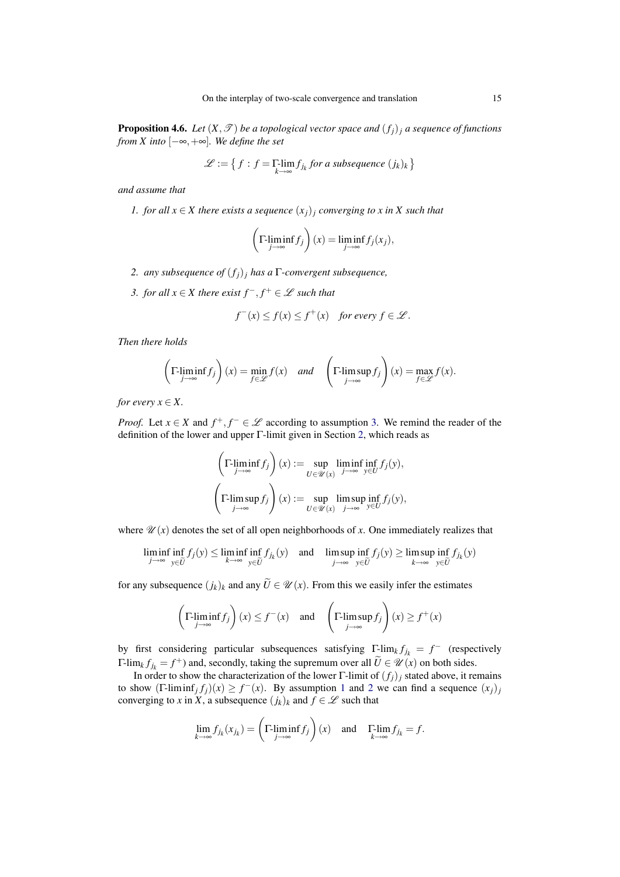**Proposition 4.6.** *Let*  $(X, \mathcal{T})$  *be a topological vector space and*  $(f_j)_j$  *a sequence of functions from X into* [−∞,+∞]*. We define the set*

$$
\mathcal{L} := \left\{ f : f = \prod_{k \to \infty} f_{j_k} \text{ for a subsequence } (j_k)_k \right\}
$$

<span id="page-14-1"></span>*and assume that*

*1. for all*  $x \in X$  *there exists a sequence*  $(x_j)_j$  *converging to x in X such that* 

$$
\left(\Gamma\text{-}\liminf_{j\to\infty}f_j\right)(x)=\liminf_{j\to\infty}f_j(x_j),
$$

- <span id="page-14-2"></span>*2. any subsequence of* (*fj*)*<sup>j</sup> has a* Γ*-convergent subsequence,*
- <span id="page-14-0"></span>*3. for all*  $x \in X$  there exist  $f^{-}$ ,  $f^{+} \in \mathscr{L}$  such that

$$
f^-(x) \le f(x) \le f^+(x) \quad \text{for every } f \in \mathcal{L}.
$$

*Then there holds*

$$
\left(\Gamma\text{-}\liminf_{j\to\infty}f_j\right)(x) = \min_{f\in\mathscr{L}}f(x) \quad and \quad \left(\Gamma\text{-}\limsup_{j\to\infty}f_j\right)(x) = \max_{f\in\mathscr{L}}f(x).
$$

*for every*  $x \in X$ .

*Proof.* Let  $x \in X$  and  $f^+, f^- \in \mathcal{L}$  according to assumption [3.](#page-14-0) We remind the reader of the definition of the lower and upper Γ-limit given in Section [2,](#page-2-1) which reads as

$$
\left(\Gamma\text{-}\liminf_{j\to\infty}f_j\right)(x) := \sup_{U\in\mathscr{U}(x)}\liminf_{j\to\infty}\inf_{y\in U}f_j(y),
$$
  

$$
\left(\Gamma\text{-}\limsup_{j\to\infty}f_j\right)(x) := \sup_{U\in\mathscr{U}(x)}\limsup_{j\to\infty}\inf_{y\in U}f_j(y),
$$

where  $\mathscr{U}(x)$  denotes the set of all open neighborhoods of *x*. One immediately realizes that

$$
\liminf_{j \to \infty} \inf_{y \in \widetilde{U}} f_j(y) \le \liminf_{k \to \infty} \inf_{y \in \widetilde{U}} f_{j_k}(y) \quad \text{and} \quad \limsup_{j \to \infty} \inf_{y \in \widetilde{U}} f_j(y) \ge \limsup_{k \to \infty} \inf_{y \in \widetilde{U}} f_{j_k}(y)
$$

for any subsequence  $(j_k)_k$  and any  $\tilde{U} \in \mathcal{U}(x)$ . From this we easily infer the estimates

$$
\left(\Gamma\text{-}\liminf_{j\to\infty}f_j\right)(x)\leq f^-(x)\quad\text{and}\quad\left(\Gamma\text{-}\limsup_{j\to\infty}f_j\right)(x)\geq f^+(x)
$$

by first considering particular subsequences satisfying  $\Gamma$ -lim<sub>*k*</sub>  $f_{j_k} = f^-$  (respectively Γ-lim<sub>*k*</sub>  $f_{jk} = f^+$ ) and, secondly, taking the supremum over all  $\tilde{U} \in \mathcal{U}(x)$  on both sides.

In order to show the characterization of the lower Γ-limit of  $(f_i)_i$  stated above, it remains to show  $(\Gamma\text{-lim}\inf_j f_j)(x) \ge f^-(x)$ . By assumption [1](#page-14-1) and [2](#page-14-2) we can find a sequence  $(x_j)_j$ converging to *x* in *X*, a subsequence  $(j_k)_k$  and  $f \in \mathcal{L}$  such that

$$
\lim_{k \to \infty} f_{j_k}(x_{j_k}) = \left(\Gamma \liminf_{j \to \infty} f_j\right)(x) \text{ and } \Gamma \lim_{k \to \infty} f_{j_k} = f.
$$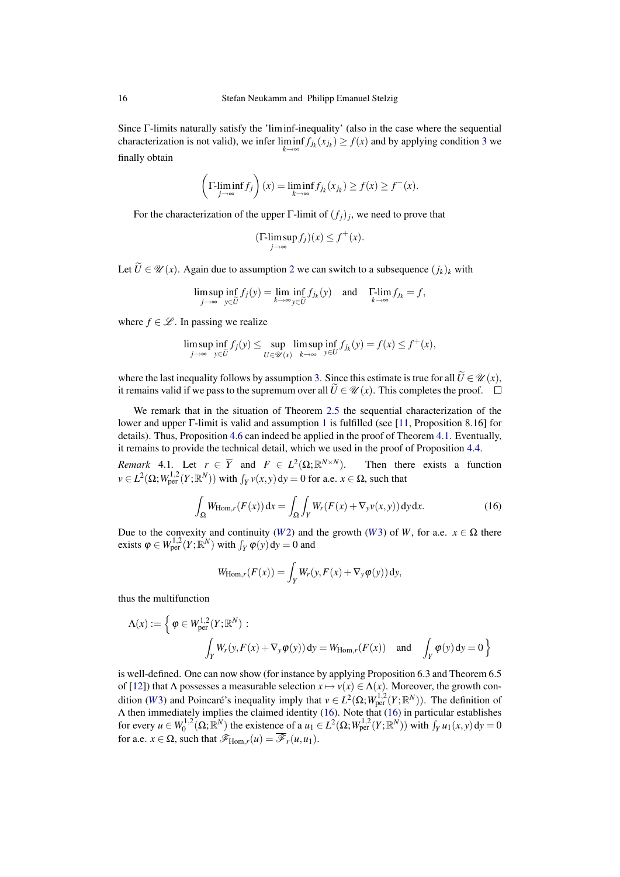Since Γ-limits naturally satisfy the 'liminf-inequality' (also in the case where the sequential characterization is not valid), we infer  $\liminf_{k \to \infty} f_{j_k}(x_{j_k}) \ge f(x)$  and by applying condition [3](#page-14-0) we finally obtain

$$
\left(\Gamma\text{-}\underset{j\to\infty}{\liminf} f_j\right)(x) = \underset{k\to\infty}{\liminf} f_{j_k}(x_{j_k}) \ge f(x) \ge f^-(x).
$$

For the characterization of the upper  $\Gamma$ -limit of  $(f_j)_j$ , we need to prove that

$$
(\Gamma\text{-}\limsup_{j\to\infty}f_j)(x)\leq f^+(x).
$$

Let  $\widetilde{U} \in \mathcal{U}(x)$ . Again due to assumption [2](#page-14-2) we can switch to a subsequence  $(j_k)_k$  with

$$
\limsup_{j \to \infty} \inf_{y \in \widetilde{U}} f_j(y) = \lim_{k \to \infty} \inf_{y \in \widetilde{U}} f_{j_k}(y) \quad \text{and} \quad \Gamma \text{-}\lim_{k \to \infty} f_{j_k} = f,
$$

where  $f \in \mathcal{L}$ . In passing we realize

$$
\limsup_{j\to\infty}\inf_{y\in\widetilde{U}}f_j(y)\leq \sup_{U\in\mathscr{U}(x)}\limsup_{k\to\infty}\inf_{y\in U}f_{j_k}(y)=f(x)\leq f^+(x),
$$

where the last inequality follows by assumption [3.](#page-14-0) Since this estimate is true for all  $\widetilde{U} \in \mathcal{U}(x)$ , it remains valid if we pass to the supremum over all  $\tilde{U} \in \mathcal{U}(x)$ . This completes the proof. □

We remark that in the situation of Theorem [2.5](#page-3-2) the sequential characterization of the lower and upper Γ-limit is valid and assumption [1](#page-14-1) is fulfilled (see [\[11,](#page-18-10) Proposition 8.16] for details). Thus, Proposition [4.6](#page-13-3) can indeed be applied in the proof of Theorem [4.1.](#page-9-0) Eventually, it remains to provide the technical detail, which we used in the proof of Proposition [4.4.](#page-10-1)

<span id="page-15-0"></span>*Remark* 4.1*.* Let  $r \in \overline{Y}$  and  $F \in L^2(\Omega;\mathbb{R})$ Then there exists a function  $\nu \in L^2(\Omega; W^{1,2}_{per}(Y; \mathbb{R}^N))$  with  $\int_Y \nu(x, y) dy = 0$  for a.e.  $x \in \Omega$ , such that

$$
\int_{\Omega} W_{\text{Hom},r}(F(x)) dx = \int_{\Omega} \int_{Y} W_{r}(F(x) + \nabla_{y} v(x, y)) dy dx.
$$
 (16)

Due to the convexity and continuity (*[W](#page-8-2)*2) and the growth (*W*3) of *W*, for a.e.  $x \in \Omega$  there exists  $\varphi \in W^{1,2}_{per}(Y; \mathbb{R}^N)$  with  $\int_Y \varphi(y) dy = 0$  and

<span id="page-15-1"></span>
$$
W_{\text{Hom},r}(F(x)) = \int_Y W_r(y, F(x) + \nabla_y \varphi(y)) \, dy,
$$

thus the multifunction

$$
\Lambda(x) := \left\{ \varphi \in W_{\text{per}}^{1,2}(Y; \mathbb{R}^N) : \right.
$$
  

$$
\int_Y W_r(y, F(x) + \nabla_y \varphi(y)) dy = W_{\text{Hom},r}(F(x)) \text{ and } \int_Y \varphi(y) dy = 0 \right\}
$$

is well-defined. One can now show (for instance by applying Proposition 6.3 and Theorem 6.5 of [\[12\]](#page-18-13)) that  $\Lambda$  possesses a measurable selection  $x \mapsto v(x) \in \Lambda(x)$ . Moreover, the growth condition (*[W](#page-8-2)*3) and Poincaré's inequality imply that  $v \in L^2(\Omega; W^{1,2}_{per}(Y; \mathbb{R}^N))$ . The definition of Λ then immediately implies the claimed identity [\(16\)](#page-15-1). Note that [\(16\)](#page-15-1) in particular establishes for every  $u \in W_0^{1,2}(\Omega;\mathbb{R}^N)$  the existence of a  $u_1 \in L^2(\Omega;W_{\text{per}}^{1,2}(Y;\mathbb{R}^N))$  with  $\int_Y u_1(x,y) dy = 0$ for a.e.  $x \in \Omega$ , such that  $\mathscr{F}_{\text{Hom},r}(u) = \overline{\mathscr{F}}_r(u,u_1)$ .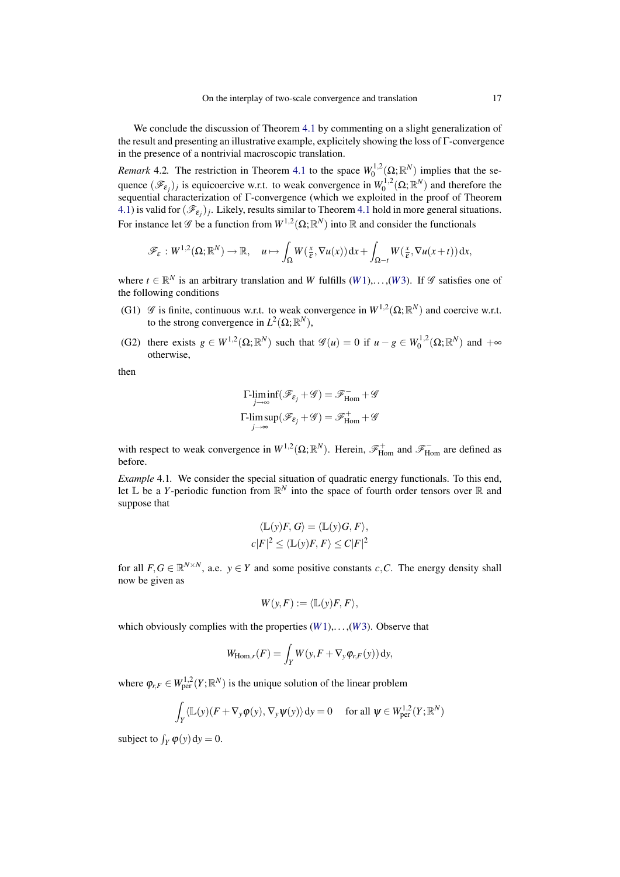We conclude the discussion of Theorem [4.1](#page-9-0) by commenting on a slight generalization of the result and presenting an illustrative example, explicitely showing the loss of Γ-convergence in the presence of a nontrivial macroscopic translation.

*Remark* 4.2. The restriction in Theorem [4.1](#page-9-0) to the space  $W_0^{1,2}(\Omega;\mathbb{R}^N)$  implies that the sequence  $(\mathscr{F}_{\varepsilon_j})_j$  is equicoercive w.r.t. to weak convergence in  $W_0^{1,2}(\Omega;\mathbb{R}^N)$  and therefore the sequential characterization of Γ-convergence (which we exploited in the proof of Theorem [4.1\)](#page-9-0) is valid for  $(\mathscr{F}_{\varepsilon_j})_j$ . Likely, results similar to Theorem [4.1](#page-9-0) hold in more general situations. For instance let  $\mathscr G$  be a function from  $W^{1,2}(\Omega;\mathbb R^N)$  into  $\mathbb R$  and consider the functionals

$$
\mathscr{F}_{\varepsilon}:W^{1,2}(\Omega;\mathbb{R}^N)\to\mathbb{R},\quad u\mapsto\int_{\Omega}W(\frac{x}{\varepsilon},\nabla u(x))\,dx+\int_{\Omega-t}W(\frac{x}{\varepsilon},\nabla u(x+t))\,dx,
$$

where  $t \in \mathbb{R}^N$  is an arbitrary translation and *[W](#page-8-2)* fulfills (*W*1),...,(*W*3). If  $\mathscr G$  satisfies one of the following conditions

- (G1)  $\mathscr G$  is finite, continuous w.r.t. to weak convergence in  $W^{1,2}(\Omega;\mathbb R^N)$  and coercive w.r.t. to the strong convergence in  $L^2(\Omega; \mathbb{R}^N)$ ,
- (G2) there exists  $g \in W^{1,2}(\Omega; \mathbb{R}^N)$  such that  $\mathscr{G}(u) = 0$  if  $u g \in W_0^{1,2}(\Omega; \mathbb{R}^N)$  and  $+\infty$ otherwise,

then

$$
\begin{aligned} \Gamma\text{-}\!\liminf_{j\to\infty}(\mathscr{F}_{\!\epsilon_j}\!+\!\mathscr{G})&=\mathscr{F}_{\mathrm{Hom}}^{\,-}+\mathscr{G}\\ \Gamma\text{-}\!\limsup_{j\to\infty}(\mathscr{F}_{\!\epsilon_j}\!+\!\mathscr{G})&=\mathscr{F}_{\mathrm{Hom}}^+\!+\!\mathscr{G} \end{aligned}
$$

with respect to weak convergence in  $W^{1,2}(\Omega;\mathbb{R}^N)$ . Herein,  $\mathscr{F}_{\text{Hom}}^+$  and  $\mathscr{F}_{\text{Hom}}^-$  are defined as before.

<span id="page-16-0"></span>*Example* 4.1*.* We consider the special situation of quadratic energy functionals. To this end, let  $\mathbb L$  be a *Y*-periodic function from  $\mathbb R^N$  into the space of fourth order tensors over  $\mathbb R$  and suppose that

$$
\langle \mathbb{L}(y)F, G \rangle = \langle \mathbb{L}(y)G, F \rangle,
$$
  

$$
c|F|^2 \le \langle \mathbb{L}(y)F, F \rangle \le C|F|^2
$$

for all  $F, G \in \mathbb{R}^{N \times N}$ , a.e.  $y \in Y$  and some positive constants *c*,*C*. The energy density shall now be given as

$$
W(y,F) := \langle \mathbb{L}(y)F, F \rangle,
$$

which obviously complies with the properties  $(W1), \ldots, (W3)$  $(W1), \ldots, (W3)$  $(W1), \ldots, (W3)$ . Observe that

$$
W_{\text{Hom},r}(F) = \int_Y W(y, F + \nabla_y \varphi_{r,F}(y)) \, dy,
$$

where  $\varphi_{r,F} \in W^{1,2}_{per}(Y; \mathbb{R}^N)$  is the unique solution of the linear problem

$$
\int_Y \langle \mathbb{L}(y)(F + \nabla_y \varphi(y), \nabla_y \psi(y) \rangle dy = 0 \quad \text{ for all } \psi \in W^{1,2}_{per}(Y; \mathbb{R}^N)
$$

subject to  $\int_Y \varphi(y) dy = 0$ .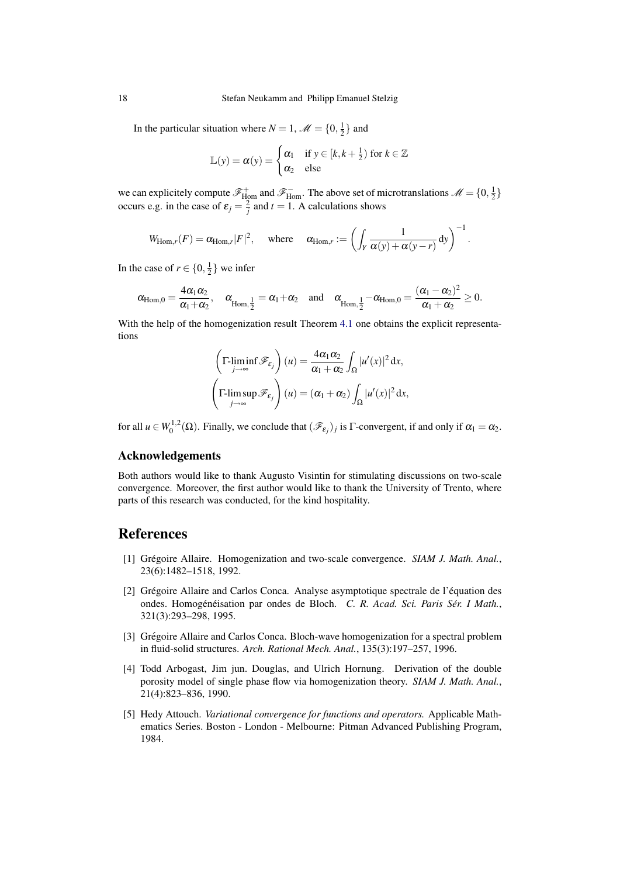In the particular situation where  $N = 1$ ,  $\mathcal{M} = \{0, \frac{1}{2}\}\$ and

$$
\mathbb{L}(y) = \alpha(y) = \begin{cases} \alpha_1 & \text{if } y \in [k, k + \frac{1}{2}) \text{ for } k \in \mathbb{Z} \\ \alpha_2 & \text{else} \end{cases}
$$

we can explicitely compute  $\mathscr{F}^+_{\text{Hom}}$  and  $\mathscr{F}^-_{\text{Hom}}$ . The above set of microtranslations  $\mathscr{M} = \{0, \frac{1}{2}\}\$ occurs e.g. in the case of  $\varepsilon_j = \frac{2}{j}$  and  $t = 1$ . A calculations shows

$$
W_{\text{Hom},r}(F) = \alpha_{\text{Hom},r}|F|^2, \quad \text{where} \quad \alpha_{\text{Hom},r} := \left(\int_Y \frac{1}{\alpha(y) + \alpha(y-r)} \, dy\right)^{-1}.
$$

In the case of  $r \in \{0, \frac{1}{2}\}$  we infer

$$
\alpha_{\text{Hom},0} = \frac{4\alpha_1\alpha_2}{\alpha_1 + \alpha_2}, \quad \alpha_{\text{Hom},\frac{1}{2}} = \alpha_1 + \alpha_2 \quad \text{and} \quad \alpha_{\text{Hom},\frac{1}{2}} - \alpha_{\text{Hom},0} = \frac{(\alpha_1 - \alpha_2)^2}{\alpha_1 + \alpha_2} \ge 0.
$$

With the help of the homogenization result Theorem [4.1](#page-9-0) one obtains the explicit representations

$$
\left(\Gamma\liminf_{j\to\infty} \mathcal{F}_{\varepsilon_j}\right)(u) = \frac{4\alpha_1\alpha_2}{\alpha_1 + \alpha_2} \int_{\Omega} |u'(x)|^2 dx,
$$
  

$$
\left(\Gamma\limsup_{j\to\infty} \mathcal{F}_{\varepsilon_j}\right)(u) = (\alpha_1 + \alpha_2) \int_{\Omega} |u'(x)|^2 dx,
$$

for all  $u \in W_0^{1,2}(\Omega)$ . Finally, we conclude that  $(\mathscr{F}_{\varepsilon_j})_j$  is  $\Gamma$ -convergent, if and only if  $\alpha_1 = \alpha_2$ .

#### Acknowledgements

Both authors would like to thank Augusto Visintin for stimulating discussions on two-scale convergence. Moreover, the first author would like to thank the University of Trento, where parts of this research was conducted, for the kind hospitality.

## References

- <span id="page-17-0"></span>[1] Grégoire Allaire. Homogenization and two-scale convergence. *SIAM J. Math. Anal.*, 23(6):1482–1518, 1992.
- <span id="page-17-4"></span>[2] Grégoire Allaire and Carlos Conca. Analyse asymptotique spectrale de l'équation des ondes. Homogénéisation par ondes de Bloch. C. R. Acad. Sci. Paris Sér. I Math., 321(3):293–298, 1995.
- <span id="page-17-3"></span>[3] Grégoire Allaire and Carlos Conca. Bloch-wave homogenization for a spectral problem in fluid-solid structures. *Arch. Rational Mech. Anal.*, 135(3):197–257, 1996.
- <span id="page-17-1"></span>[4] Todd Arbogast, Jim jun. Douglas, and Ulrich Hornung. Derivation of the double porosity model of single phase flow via homogenization theory. *SIAM J. Math. Anal.*, 21(4):823–836, 1990.
- <span id="page-17-2"></span>[5] Hedy Attouch. *Variational convergence for functions and operators.* Applicable Mathematics Series. Boston - London - Melbourne: Pitman Advanced Publishing Program, 1984.